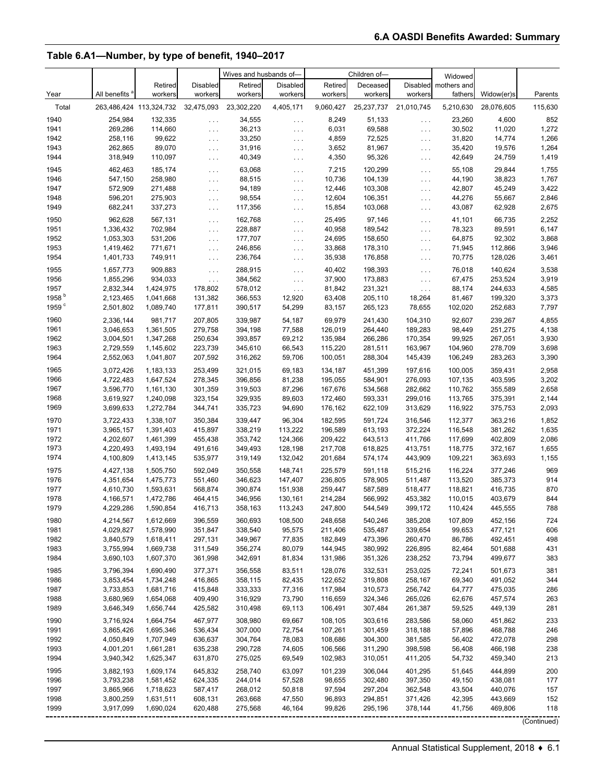#### **Table 6.A1—Number, by type of benefit, 1940–2017**

|                           |                        |                                    |                      | Wives and husbands of- |                                  |                    | Children of-       |                          | Widowed            |                    |                |
|---------------------------|------------------------|------------------------------------|----------------------|------------------------|----------------------------------|--------------------|--------------------|--------------------------|--------------------|--------------------|----------------|
|                           |                        | Retired                            | <b>Disabled</b>      | Retired                | <b>Disabled</b>                  | Retired            | Deceased           | <b>Disabled</b>          | mothers and        |                    |                |
| Year                      | All benefits           | workers                            | workers              | workers                | workers                          | workers            | workers            | workers                  | fathers            | Widow(er)s         | Parents        |
| Total                     |                        | 263,486,424 113,324,732 32,475,093 |                      | 23,302,220             | 4,405,171                        | 9,060,427          | 25,237,737         | 21,010,745               | 5,210,630          | 28,076,605         | 115,630        |
|                           |                        |                                    |                      |                        |                                  |                    |                    |                          |                    |                    |                |
| 1940<br>1941              | 254,984<br>269,286     | 132,335<br>114,660                 | $\ldots$             | 34,555<br>36,213       | $\sim$ $\sim$ $\sim$             | 8,249<br>6,031     | 51,133<br>69,588   | $\sim$ $\sim$ $\sim$     | 23,260<br>30,502   | 4,600              | 852<br>1,272   |
| 1942                      | 258,116                | 99,622                             | $\ldots$             | 33,250                 | $\ldots$                         | 4,859              | 72,525             | $\epsilon$ .             | 31,820             | 11,020<br>14,774   | 1,266          |
| 1943                      | 262,865                | 89,070                             | $\ldots$<br>$\ldots$ | 31,916                 | $\ldots$<br>$\cdots$             | 3,652              | 81,967             | $\epsilon$ .<br>$\ldots$ | 35,420             | 19,576             | 1,264          |
| 1944                      | 318,949                | 110,097                            | $\sim$ $\sim$ $\sim$ | 40,349                 | $\ldots$                         | 4,350              | 95,326             | $\ldots$ .               | 42,649             | 24,759             | 1,419          |
|                           |                        |                                    |                      |                        |                                  |                    |                    |                          |                    |                    |                |
| 1945                      | 462,463                | 185,174<br>258,980                 | $\ldots$             | 63,068                 | $\ldots$                         | 7,215              | 120,299            | $\ldots$                 | 55,108             | 29,844             | 1,755          |
| 1946<br>1947              | 547,150<br>572,909     | 271,488                            | $\ldots$             | 88,515<br>94,189       | $\sim$ $\sim$ $\sim$             | 10,736<br>12,446   | 104,139<br>103,308 | $\ldots$                 | 44,190<br>42,807   | 38,823<br>45,249   | 1,767<br>3,422 |
| 1948                      | 596,201                | 275,903                            | $\ldots$<br>$\ldots$ | 98,554                 | $\ldots$<br>$\sim$ $\sim$ $\sim$ | 12,604             | 106,351            | $\ldots$<br>$\ldots$ .   | 44,276             | 55,667             | 2,846          |
| 1949                      | 682,241                | 337,273                            | $\ldots$             | 117,356                | $\sim 10$                        | 15,854             | 103,068            | $\ldots$ .               | 43,087             | 62,928             | 2,675          |
|                           |                        |                                    |                      |                        |                                  |                    |                    |                          |                    |                    |                |
| 1950                      | 962,628                | 567,131                            | $\ldots$             | 162,768                | $\ldots$                         | 25,495             | 97,146<br>189,542  | $\ldots$                 | 41,101             | 66,735             | 2,252<br>6,147 |
| 1951<br>1952              | 1,336,432<br>1,053,303 | 702,984<br>531,206                 | $\ldots$             | 228,887<br>177,707     | $\ldots$                         | 40,958<br>24,695   | 158,650            | $\ldots$ .               | 78,323<br>64,875   | 89,591<br>92,302   | 3,868          |
| 1953                      | 1,419,462              | 771,671                            | $\ldots$<br>$\ldots$ | 246,856                | $\ldots$<br>$\sim$ $\sim$ $\sim$ | 33,868             | 178,310            | $\ldots$<br>$\epsilon$ . | 71,945             | 112,866            | 3,946          |
| 1954                      | 1,401,733              | 749,911                            | $\ldots$             | 236,764                | $\ldots$                         | 35,938             | 176,858            | $\ldots$                 | 70,775             | 128,026            | 3,461          |
|                           |                        |                                    |                      |                        |                                  |                    |                    |                          |                    |                    |                |
| 1955                      | 1,657,773              | 909,883                            | $\ldots$             | 288,915                | $\ldots$                         | 40,402             | 198,393            | $\ldots$                 | 76,018             | 140,624            | 3,538          |
| 1956                      | 1,855,296              | 934,033<br>1,424,975               | $\ldots$             | 384,562                | $\ldots$                         | 37,900             | 173,883            | $\ldots$ .               | 67,475             | 253,524            | 3,919          |
| 1957<br>1958 <sup>b</sup> | 2,832,344<br>2,123,465 | 1,041,668                          | 178,802<br>131,382   | 578,012<br>366,553     | $\ldots$<br>12,920               | 81,842<br>63,408   | 231,321<br>205,110 | $\ldots$<br>18,264       | 88,174<br>81,467   | 244,633<br>199,320 | 4,585<br>3,373 |
| 1959 <sup>c</sup>         | 2,501,802              | 1,089,740                          | 177,811              | 390,517                | 54,299                           | 83,157             | 265,123            | 78,655                   | 102,020            | 252,683            | 7,797          |
|                           |                        |                                    |                      |                        |                                  |                    |                    |                          |                    |                    |                |
| 1960                      | 2,336,144              | 981,717                            | 207.805              | 339,987                | 54,187                           | 69,979             | 241,430            | 104,310                  | 92,607             | 239,267            | 4,855          |
| 1961<br>1962              | 3,046,653<br>3,004,501 | 1,361,505<br>1,347,268             | 279,758<br>250,634   | 394,198<br>393,857     | 77,588<br>69,212                 | 126,019<br>135,984 | 264,440<br>266,286 | 189,283<br>170,354       | 98,449<br>99,925   | 251,275<br>267,051 | 4,138<br>3,930 |
| 1963                      | 2,729,559              | 1,145,602                          | 223,739              | 345,610                | 66,543                           | 115,220            | 281,511            | 163,967                  | 104,960            | 278,709            | 3,698          |
| 1964                      | 2,552,063              | 1,041,807                          | 207,592              | 316,262                | 59,706                           | 100,051            | 288,304            | 145,439                  | 106,249            | 283,263            | 3,390          |
|                           |                        |                                    |                      |                        |                                  |                    |                    |                          |                    |                    |                |
| 1965                      | 3,072,426              | 1,183,133                          | 253,499              | 321,015<br>396,856     | 69,183<br>81,238                 | 134,187<br>195,055 | 451,399<br>584,901 | 197,616<br>276,093       | 100,005            | 359,431            | 2,958<br>3,202 |
| 1966<br>1967              | 4,722,483<br>3,596,770 | 1,647,524<br>1,161,130             | 278,345<br>301,359   | 319,503                | 87,296                           | 167,676            | 534,568            | 282,662                  | 107,135<br>110,762 | 403,595<br>355,589 | 2,658          |
| 1968                      | 3,619,927              | 1,240,098                          | 323,154              | 329,935                | 89,603                           | 172,460            | 593,331            | 299,016                  | 113,765            | 375,391            | 2,144          |
| 1969                      | 3,699,633              | 1,272,784                          | 344,741              | 335,723                | 94,690                           | 176,162            | 622,109            | 313,629                  | 116,922            | 375,753            | 2,093          |
|                           |                        |                                    |                      |                        |                                  |                    |                    |                          |                    |                    |                |
| 1970<br>1971              | 3,722,433<br>3,965,157 | 1,338,107                          | 350,384<br>415,897   | 339,447                | 96,304                           | 182,595<br>196,589 | 591,724<br>613,193 | 316,546<br>372,224       | 112,377<br>116,548 | 363,216            | 1,852          |
| 1972                      | 4,202,607              | 1,391,403<br>1,461,399             | 455,438              | 338,219<br>353,742     | 113,222<br>124,366               | 209,422            | 643,513            | 411,766                  | 117,699            | 381,262<br>402,809 | 1,635<br>2,086 |
| 1973                      | 4,220,493              | 1,493,194                          | 491,616              | 349,493                | 128,198                          | 217,708            | 618,825            | 413,751                  | 118,775            | 372,167            | 1,655          |
| 1974                      | 4,100,809              | 1,413,145                          | 535,977              | 319,149                | 132,042                          | 201,684            | 574,174            | 443,909                  | 109,221            | 363,693            | 1,155          |
| 1975                      |                        |                                    |                      |                        |                                  |                    |                    |                          |                    |                    | 969            |
| 1976                      | 4,427,138<br>4,351,654 | 1,505,750<br>1,475,773             | 592,049<br>551,460   | 350,558<br>346,623     | 148,741<br>147,407               | 225,579<br>236,805 | 591,118<br>578,905 | 515,216<br>511,487       | 116,224<br>113,520 | 377,246<br>385,373 | 914            |
| 1977                      | 4,610,730              | 1,593,631                          | 568,874              | 390,874                | 151,938                          | 259,447            | 587,589            | 518,477                  | 118,821            | 416,735            | 870            |
| 1978                      | 4,166,571              | 1,472,786                          | 464,415              | 346,956                | 130,161                          | 214,284            | 566,992            | 453,382                  | 110,015            | 403,679            | 844            |
| 1979                      | 4,229,286              | 1,590,854                          | 416,713              | 358,163                | 113,243                          | 247,800            | 544,549            | 399,172                  | 110,424            | 445,555            | 788            |
|                           |                        |                                    | 396,559              | 360,693                |                                  |                    |                    |                          |                    |                    |                |
| 1980<br>1981              | 4,214,567<br>4,029,827 | 1,612,669<br>1,578,990             | 351,847              | 338,540                | 108,500<br>95,575                | 248,658<br>211,406 | 540,246<br>535,487 | 385,208<br>339,654       | 107,809<br>99,653  | 452,156<br>477,121 | 724<br>606     |
| 1982                      | 3,840,579              | 1,618,411                          | 297,131              | 349,967                | 77,835                           | 182,849            | 473,396            | 260,470                  | 86,786             | 492,451            | 498            |
| 1983                      | 3,755,994              | 1,669,738                          | 311,549              | 356,274                | 80,079                           | 144,945            | 380,992            | 226,895                  | 82,464             | 501,688            | 431            |
| 1984                      | 3,690,103              | 1,607,370                          | 361,998              | 342,691                | 81,834                           | 131,986            | 351,326            | 238,252                  | 73,794             | 499,677            | 383            |
| 1985                      | 3,796,394              | 1,690,490                          | 377,371              | 356,558                | 83,511                           | 128,076            | 332,531            | 253,025                  | 72,241             | 501,673            | 381            |
| 1986                      | 3,853,454              | 1,734,248                          | 416,865              | 358,115                | 82,435                           | 122,652            | 319,808            | 258,167                  | 69,340             | 491,052            | 344            |
| 1987                      | 3,733,853              | 1,681,716                          | 415,848              | 333,333                | 77,316                           | 117,984            | 310,573            | 256,742                  | 64,777             | 475,035            | 286            |
| 1988                      | 3,680,969              | 1,654,068                          | 409,490              | 316,929                | 73,790                           | 116,659            | 324,346            | 265,026                  | 62,676             | 457,574            | 263            |
| 1989                      | 3,646,349              | 1,656,744                          | 425,582              | 310,498                | 69,113                           | 106,491            | 307,484            | 261,387                  | 59,525             | 449,139            | 281            |
| 1990                      | 3,716,924              | 1,664,754                          | 467,977              | 308,980                | 69,667                           | 108,105            | 303,616            | 283,586                  | 58,060             | 451,862            | 233            |
| 1991                      | 3,865,426              | 1,695,346                          | 536,434              | 307,000                | 72,754                           | 107,261            | 301,459            | 318,188                  | 57,896             | 468,788            | 246            |
| 1992                      | 4,050,849              | 1,707,949                          | 636,637              | 304,764                | 78,083                           | 108,686            | 304,300            | 381,585                  | 56,402             | 472,078            | 298            |
| 1993                      | 4,001,201              | 1,661,281                          | 635,238              | 290,728                | 74,605                           | 106,566            | 311,290            | 398,598                  | 56,408             | 466,198            | 238            |
| 1994                      | 3,940,342              | 1,625,347                          | 631,870              | 275,025                | 69,549                           | 102,983            | 310,051            | 411,205                  | 54,732             | 459,340            | 213            |
| 1995                      | 3,882,193              | 1,609,174                          | 645,832              | 258,740                | 63,097                           | 101,239            | 306,044            | 401,295                  | 51,645             | 444,899            | 200            |
| 1996                      | 3,793,238              | 1,581,452                          | 624,335              | 244,014                | 57,528                           | 98,655             | 302,480            | 397,350                  | 49,150             | 438,081            | 177            |
| 1997                      | 3,865,966              | 1,718,623                          | 587,417              | 268,012                | 50,818                           | 97,594             | 297,204            | 362,548                  | 43,504             | 440,076            | 157            |
| 1998                      | 3,800,259              | 1,631,511                          | 608,131              | 263,668                | 47,550                           | 96,893             | 294,851            | 371,426                  | 42,395             | 443,669            | 152            |
| 1999                      | 3,917,099              | 1,690,024                          | 620,488              | 275,568                | 46,164                           | 99,826             | 295,196            | 378,144                  | 41,756             | 469,806            | 118            |
|                           |                        |                                    |                      |                        |                                  |                    |                    |                          |                    |                    | --------       |

(Continued)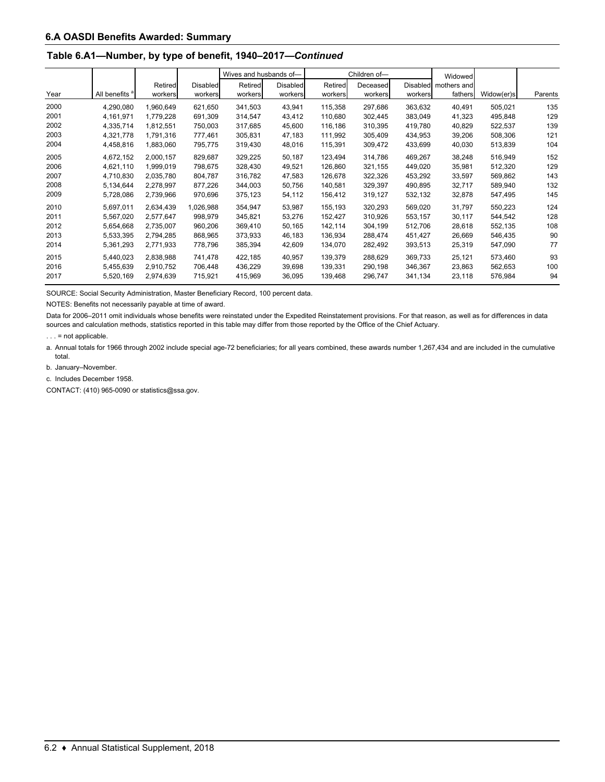#### **Table 6.A1—Number, by type of benefit, 1940–2017—***Continued*

|      |                           |           |           |         | Wives and husbands of- |         | Children of- |         | Widowed              |            |         |
|------|---------------------------|-----------|-----------|---------|------------------------|---------|--------------|---------|----------------------|------------|---------|
|      |                           | Retired   | Disabled  | Retired | <b>Disabled</b>        | Retired | Deceased     |         | Disabled mothers and |            |         |
| Year | All benefits <sup>a</sup> | workers   | workers   | workers | workers                | workers | workers      | workers | fathers              | Widow(er)s | Parents |
| 2000 | 4,290,080                 | 1,960,649 | 621,650   | 341,503 | 43,941                 | 115,358 | 297,686      | 363,632 | 40,491               | 505,021    | 135     |
| 2001 | 4,161,971                 | 1,779,228 | 691,309   | 314,547 | 43,412                 | 110,680 | 302,445      | 383,049 | 41,323               | 495,848    | 129     |
| 2002 | 4,335,714                 | 1,812,551 | 750,003   | 317,685 | 45,600                 | 116,186 | 310,395      | 419,780 | 40,829               | 522,537    | 139     |
| 2003 | 4,321,778                 | 1,791,316 | 777,461   | 305,831 | 47,183                 | 111,992 | 305,409      | 434,953 | 39,206               | 508,306    | 121     |
| 2004 | 4,458,816                 | 1,883,060 | 795,775   | 319,430 | 48,016                 | 115,391 | 309,472      | 433,699 | 40,030               | 513,839    | 104     |
| 2005 | 4,672,152                 | 2,000,157 | 829,687   | 329,225 | 50,187                 | 123,494 | 314,786      | 469,267 | 38,248               | 516,949    | 152     |
| 2006 | 4,621,110                 | 1,999,019 | 798,675   | 328,430 | 49,521                 | 126,860 | 321,155      | 449,020 | 35,981               | 512,320    | 129     |
| 2007 | 4,710,830                 | 2,035,780 | 804,787   | 316,782 | 47,583                 | 126.678 | 322,326      | 453,292 | 33,597               | 569,862    | 143     |
| 2008 | 5,134,644                 | 2,278,997 | 877,226   | 344,003 | 50,756                 | 140,581 | 329,397      | 490,895 | 32,717               | 589,940    | 132     |
| 2009 | 5,728,086                 | 2,739,966 | 970.696   | 375,123 | 54,112                 | 156,412 | 319,127      | 532,132 | 32,878               | 547,495    | 145     |
| 2010 | 5,697,011                 | 2,634,439 | 1,026,988 | 354,947 | 53,987                 | 155,193 | 320,293      | 569,020 | 31,797               | 550,223    | 124     |
| 2011 | 5,567,020                 | 2.577.647 | 998.979   | 345,821 | 53,276                 | 152.427 | 310.926      | 553,157 | 30,117               | 544.542    | 128     |
| 2012 | 5,654,668                 | 2,735,007 | 960,206   | 369,410 | 50,165                 | 142,114 | 304,199      | 512,706 | 28,618               | 552,135    | 108     |
| 2013 | 5,533,395                 | 2,794,285 | 868,965   | 373,933 | 46,183                 | 136,934 | 288,474      | 451,427 | 26,669               | 546,435    | 90      |
| 2014 | 5,361,293                 | 2,771,933 | 778,796   | 385,394 | 42,609                 | 134,070 | 282,492      | 393,513 | 25,319               | 547,090    | 77      |
| 2015 | 5,440,023                 | 2,838,988 | 741,478   | 422,185 | 40,957                 | 139,379 | 288,629      | 369,733 | 25,121               | 573,460    | 93      |
| 2016 | 5,455,639                 | 2,910,752 | 706,448   | 436,229 | 39,698                 | 139,331 | 290,198      | 346,367 | 23,863               | 562,653    | 100     |
| 2017 | 5,520,169                 | 2,974,639 | 715,921   | 415,969 | 36,095                 | 139,468 | 296,747      | 341,134 | 23,118               | 576,984    | 94      |

SOURCE: Social Security Administration, Master Beneficiary Record, 100 percent data.

NOTES: Benefits not necessarily payable at time of award.

Data for 2006–2011 omit individuals whose benefits were reinstated under the Expedited Reinstatement provisions. For that reason, as well as for differences in data sources and calculation methods, statistics reported in this table may differ from those reported by the Office of the Chief Actuary.

. . . = not applicable.

a. Annual totals for 1966 through 2002 include special age-72 beneficiaries; for all years combined, these awards number 1,267,434 and are included in the cumulative total.

b. January–November.

c. Includes December 1958.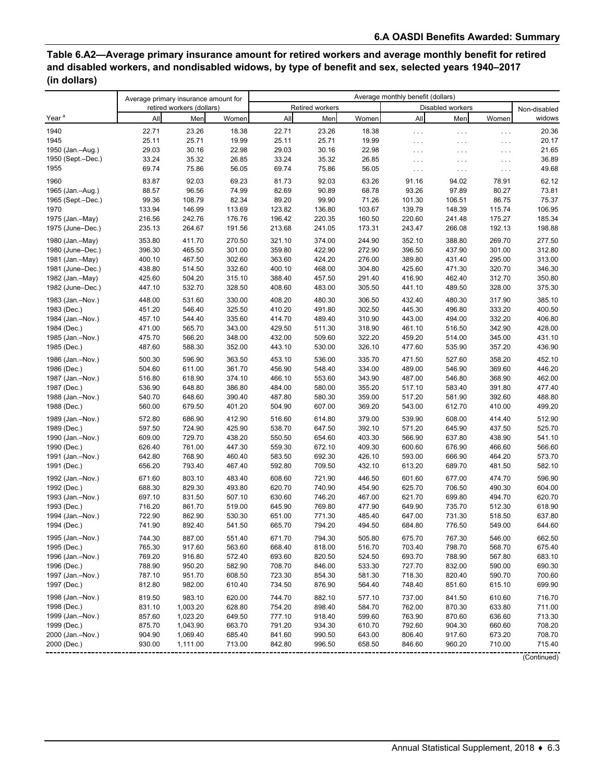# **Table 6.A2—Average primary insurance amount for retired workers and average monthly benefit for retired and disabled workers, and nondisabled widows, by type of benefit and sex, selected years 1940–2017 (in dollars)**

|                                 | Average primary insurance amount for |                           |                  |                  |                  | Average monthly benefit (dollars) |                      |                  |                      |                  |
|---------------------------------|--------------------------------------|---------------------------|------------------|------------------|------------------|-----------------------------------|----------------------|------------------|----------------------|------------------|
|                                 |                                      | retired workers (dollars) |                  |                  | Retired workers  |                                   |                      | Disabled workers |                      | Non-disabled     |
| Year <sup>a</sup>               | All                                  | Men                       | Women            | All              | Men              | Women                             | All                  | Men              | Women                | widows           |
| 1940                            | 22.71                                | 23.26                     | 18.38            | 22.71            | 23.26            | 18.38                             | $\ldots$             | $\ldots$         | $\cdots$             | 20.36            |
| 1945                            | 25.11                                | 25.71                     | 19.99            | 25.11            | 25.71            | 19.99                             | $\sim$ $\sim$ $\sim$ | $\cdots$         | $\cdots$             | 20.17            |
| 1950 (Jan.-Aug.)                | 29.03                                | 30.16                     | 22.98            | 29.03            | 30.16            | 22.98                             | $\sim$ $\sim$ $\sim$ | $\cdots$         | $\cdots$             | 21.65            |
| 1950 (Sept.-Dec.)               | 33.24                                | 35.32                     | 26.85            | 33.24            | 35.32            | 26.85                             | $\sim$ $\sim$ $\sim$ | $\cdots$         | $\cdots$             | 36.89            |
| 1955                            | 69.74                                | 75.86                     | 56.05            | 69.74            | 75.86            | 56.05                             | $\sim$ $\sim$ $\sim$ | $\ldots$         | $\sim$ $\sim$ $\sim$ | 49.68            |
| 1960                            | 83.87                                | 92.03                     | 69.23            | 81.73            | 92.03            | 63.26                             | 91.16                | 94.02            | 78.91                | 62.12            |
| 1965 (Jan.-Aug.)                | 88.57                                | 96.56                     | 74.99            | 82.69            | 90.89            | 68.78                             | 93.26                | 97.89            | 80.27                | 73.81            |
| 1965 (Sept.-Dec.)               | 99.36                                | 108.79                    | 82.34            | 89.20            | 99.90            | 71.26                             | 101.30               | 106.51           | 86.75                | 75.37            |
| 1970                            | 133.94                               | 146.99                    | 113.69           | 123.82           | 136.80           | 103.67                            | 139.79               | 148.39           | 115.74               | 106.95           |
| 1975 (Jan.-May)                 | 216.56                               | 242.76                    | 176.76           | 196.42           | 220.35           | 160.50                            | 220.60               | 241.48           | 175.27               | 185.34           |
| 1975 (June-Dec.)                | 235.13                               | 264.67                    | 191.56           | 213.68           | 241.05           | 173.31                            | 243.47               | 266.08           | 192.13               | 198.88           |
| 1980 (Jan.-May)                 | 353.80                               | 411.70                    | 270.50           | 321.10           | 374.00           | 244.90                            | 352.10               | 388.80           | 269.70               | 277.50           |
| 1980 (June-Dec.)                | 396.30                               | 465.50                    | 301.00           | 359.80           | 422.90           | 272.90                            | 396.50               | 437.90           | 301.00               | 312.80           |
| 1981 (Jan.-May)                 | 400.10                               | 467.50                    | 302.60           | 363.60           | 424.20           | 276.00                            | 389.80               | 431.40           | 295.00               | 313.00           |
| 1981 (June-Dec.)                | 438.80                               | 514.50                    | 332.60           | 400.10           | 468.00           | 304.80                            | 425.60               | 471.30           | 320.70               | 346.30           |
| 1982 (Jan.-May)                 | 425.60                               | 504.20                    | 315.10           | 388.40           | 457.50           | 291.40                            | 416.90               | 462.40           | 312.70               | 350.80           |
| 1982 (June-Dec.)                | 447.10                               | 532.70                    | 328.50           | 408.60           | 483.00           | 305.50                            | 441.10               | 489.50           | 328.00               | 375.30           |
| 1983 (Jan.-Nov.)                | 448.00                               | 531.60                    | 330.00           | 408.20           | 480.30           | 306.50                            | 432.40               | 480.30           | 317.90               | 385.10           |
| 1983 (Dec.)                     | 451.20                               | 546.40                    | 325.50           | 410.20           | 491.80           | 302.50                            | 445.30               | 496.80           | 333.20               | 400.50           |
| 1984 (Jan.-Nov.)                | 457.10                               | 544.40<br>565.70          | 335.60<br>343.00 | 414.70<br>429.50 | 489.40<br>511.30 | 310.90                            | 443.00               | 494.00<br>516.50 | 332.20<br>342.90     | 406.80<br>428.00 |
| 1984 (Dec.)<br>1985 (Jan.-Nov.) | 471.00<br>475.70                     | 566.20                    | 348.00           | 432.00           | 509.60           | 318.90<br>322.20                  | 461.10<br>459.20     | 514.00           | 345.00               | 431.10           |
| 1985 (Dec.)                     | 487.60                               | 588.30                    | 352.00           | 443.10           | 530.00           | 326.10                            | 477.60               | 535.90           | 357.20               | 436.90           |
|                                 |                                      |                           |                  |                  |                  |                                   |                      |                  |                      |                  |
| 1986 (Jan.-Nov.)                | 500.30                               | 596.90                    | 363.50<br>361.70 | 453.10           | 536.00<br>548.40 | 335.70<br>334.00                  | 471.50               | 527.60<br>546.90 | 358.20<br>369.60     | 452.10           |
| 1986 (Dec.)<br>1987 (Jan.-Nov.) | 504.60<br>516.80                     | 611.00<br>618.90          | 374.10           | 456.90<br>466.10 | 553.60           | 343.90                            | 489.00<br>487.00     | 546.80           | 368.90               | 446.20<br>462.00 |
| 1987 (Dec.)                     | 536.90                               | 648.80                    | 386.80           | 484.00           | 580.00           | 355.20                            | 517.10               | 583.40           | 391.80               | 477.40           |
| 1988 (Jan.-Nov.)                | 540.70                               | 648.60                    | 390.40           | 487.80           | 580.30           | 359.00                            | 517.20               | 581.90           | 392.60               | 488.80           |
| 1988 (Dec.)                     | 560.00                               | 679.50                    | 401.20           | 504.90           | 607.00           | 369.20                            | 543.00               | 612.70           | 410.00               | 499.20           |
| 1989 (Jan.-Nov.)                | 572.80                               | 686.90                    | 412.90           | 516.60           | 614.80           | 379.00                            | 539.90               | 608.00           | 414.40               | 512.90           |
| 1989 (Dec.)                     | 597.50                               | 724.90                    | 425.90           | 538.70           | 647.50           | 392.10                            | 571.20               | 645.90           | 437.50               | 525.70           |
| 1990 (Jan.-Nov.)                | 609.00                               | 729.70                    | 438.20           | 550.50           | 654.60           | 403.30                            | 566.90               | 637.80           | 438.90               | 541.10           |
| 1990 (Dec.)                     | 626.40                               | 761.00                    | 447.30           | 559.30           | 672.10           | 409.30                            | 600.60               | 676.90           | 466.60               | 566.60           |
| 1991 (Jan.-Nov.)                | 642.80                               | 768.90                    | 460.40           | 583.50           | 692.30           | 426.10                            | 593.00               | 666.90           | 464.20               | 573.70           |
| 1991 (Dec.)                     | 656.20                               | 793.40                    | 467.40           | 592.80           | 709.50           | 432.10                            | 613.20               | 689.70           | 481.50               | 582.10           |
| 1992 (Jan.-Nov.)                | 671.60                               | 803.10                    | 483.40           | 608.60           | 721.90           | 446.50                            | 601.60               | 677.00           | 474.70               | 596.90           |
| 1992 (Dec.)                     | 688.30                               | 829.30                    | 493.80           | 620.70           | 740.90           | 454.90                            | 625.70               | 706.50           | 490.30               | 604.00           |
| 1993 (Jan.-Nov.)                | 697.10                               | 831.50                    | 507.10           | 630.60           | 746.20           | 467.00                            | 621.70               | 699.80           | 494.70               | 620.70           |
| 1993 (Dec.)                     | 716.20                               | 861.70                    | 519.00           | 645.90           | 769.80           | 477.90                            | 649.90               | 735.70           | 512.30               | 618.90           |
| 1994 (Jan.-Nov.)                | 722.90                               | 862.90                    | 530.30           | 651.00           | 771.30           | 485.40                            | 647.00               | 731.30           | 518.50               | 637.80           |
| 1994 (Dec.)                     | 741.90                               | 892.40                    | 541.50           | 665.70           | 794.20           | 494.50                            | 684.80               | 776.50           | 549.00               | 644.60           |
| 1995 (Jan.-Nov.)                | 744.30                               | 887.00                    | 551.40           | 671.70           | 794.30           | 505.80                            | 675.70               | 767.30           | 546.00               | 662.50           |
| 1995 (Dec.)                     | 765.30                               | 917.60                    | 563.60           | 668.40           | 818.00           | 516.70                            | 703.40               | 798.70           | 568.70               | 675.40           |
| 1996 (Jan.-Nov.)                | 769.20                               | 916.80                    | 572.40           | 693.60           | 820.50           | 524.50                            | 693.70               | 788.90           | 567.80               | 683.10           |
| 1996 (Dec.)                     | 788.90                               | 950.20                    | 582.90           | 708.70           | 846.00           | 533.30                            | 727.70               | 832.00           | 590.00               | 690.30           |
| 1997 (Jan.-Nov.)                | 787.10                               | 951.70                    | 608.50           | 723.30           | 854.30           | 581.30                            | 718.30               | 820.40           | 590.70               | 700.60           |
| 1997 (Dec.)                     | 812.80                               | 982.00                    | 610.40           | 734.50           | 876.90           | 564.40                            | 748.40               | 851.60           | 615.10               | 699.90           |
| 1998 (Jan.-Nov.)                | 819.50                               | 983.10                    | 620.00           | 744.70           | 882.10           | 577.10                            | 737.00               | 841.50           | 610.60               | 716.70           |
| 1998 (Dec.)                     | 831.10                               | 1,003.20                  | 628.80           | 754.20           | 898.40           | 584.70                            | 762.00               | 870.30           | 633.80               | 711.00           |
| 1999 (Jan.-Nov.)                | 857.60                               | 1,023.20                  | 649.50           | 777.10           | 918.40           | 599.60                            | 763.90               | 870.60           | 636.60               | 713.30           |
| 1999 (Dec.)                     | 875.70                               | 1,043.90                  | 663.70           | 791.20           | 934.30           | 610.70                            | 792.60               | 904.30           | 660.60               | 708.20           |
| 2000 (Jan.-Nov.)                | 904.90                               | 1,069.40                  | 685.40           | 841.60           | 990.50           | 643.00                            | 806.40               | 917.60           | 673.20               | 708.70           |
| 2000 (Dec.)                     | 930.00                               | 1,111.00                  | 713.00           | 842.80           | 996.50           | 658.50                            | 846.60               | 960.20           | 710.00               | 715.40           |
|                                 |                                      |                           |                  |                  |                  |                                   |                      |                  |                      | (Continued)      |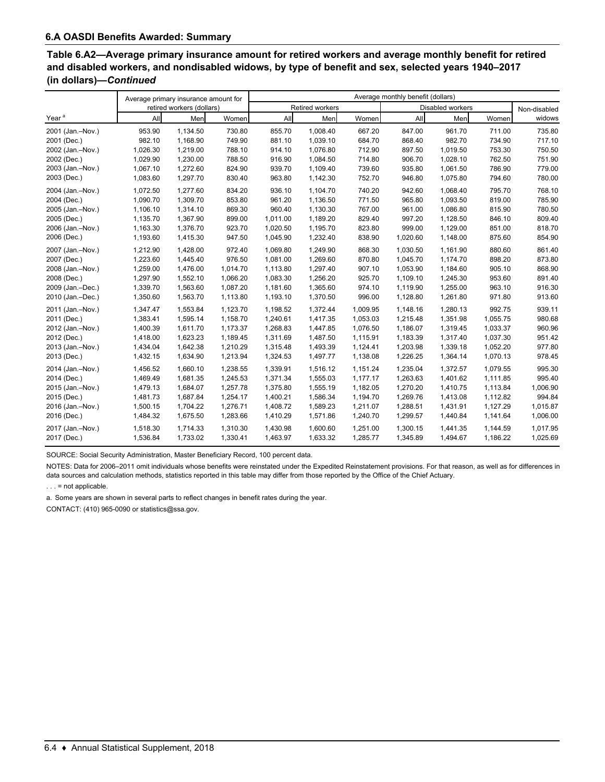| Table 6.A2—Average primary insurance amount for retired workers and average monthly benefit for retired |
|---------------------------------------------------------------------------------------------------------|
| and disabled workers, and nondisabled widows, by type of benefit and sex, selected years 1940–2017      |
| (in dollars)—Continued                                                                                  |

|                   | Average primary insurance amount for |                           |          | Average monthly benefit (dollars) |                 |          |          |                  |          |              |
|-------------------|--------------------------------------|---------------------------|----------|-----------------------------------|-----------------|----------|----------|------------------|----------|--------------|
|                   |                                      | retired workers (dollars) |          |                                   | Retired workers |          |          | Disabled workers |          | Non-disabled |
| Year <sup>a</sup> | All                                  | Men                       | Women    | All                               | Men             | Women    | All      | Men              | Women    | widows       |
| 2001 (Jan.-Nov.)  | 953.90                               | 1,134.50                  | 730.80   | 855.70                            | 1.008.40        | 667.20   | 847.00   | 961.70           | 711.00   | 735.80       |
| 2001 (Dec.)       | 982.10                               | 1,168.90                  | 749.90   | 881.10                            | 1,039.10        | 684.70   | 868.40   | 982.70           | 734.90   | 717.10       |
| 2002 (Jan.-Nov.)  | 1,026.30                             | 1,219.00                  | 788.10   | 914.10                            | 1,076.80        | 712.90   | 897.50   | 1,019.50         | 753.30   | 750.50       |
| 2002 (Dec.)       | 1,029.90                             | 1,230.00                  | 788.50   | 916.90                            | 1,084.50        | 714.80   | 906.70   | 1,028.10         | 762.50   | 751.90       |
| 2003 (Jan.-Nov.)  | 1,067.10                             | 1,272.60                  | 824.90   | 939.70                            | 1,109.40        | 739.60   | 935.80   | 1,061.50         | 786.90   | 779.00       |
| 2003 (Dec.)       | 1,083.60                             | 1,297.70                  | 830.40   | 963.80                            | 1,142.30        | 752.70   | 946.80   | 1,075.80         | 794.60   | 780.00       |
| 2004 (Jan.-Nov.)  | 1,072.50                             | 1,277.60                  | 834.20   | 936.10                            | 1,104.70        | 740.20   | 942.60   | 1,068.40         | 795.70   | 768.10       |
| 2004 (Dec.)       | 1,090.70                             | 1,309.70                  | 853.80   | 961.20                            | 1,136.50        | 771.50   | 965.80   | 1,093.50         | 819.00   | 785.90       |
| 2005 (Jan.-Nov.)  | 1,106.10                             | 1,314.10                  | 869.30   | 960.40                            | 1,130.30        | 767.00   | 961.00   | 1,086.80         | 815.90   | 780.50       |
| 2005 (Dec.)       | 1,135.70                             | 1,367.90                  | 899.00   | 1,011.00                          | 1,189.20        | 829.40   | 997.20   | 1,128.50         | 846.10   | 809.40       |
| 2006 (Jan.-Nov.)  | 1,163.30                             | 1,376.70                  | 923.70   | 1,020.50                          | 1,195.70        | 823.80   | 999.00   | 1,129.00         | 851.00   | 818.70       |
| 2006 (Dec.)       | 1,193.60                             | 1,415.30                  | 947.50   | 1,045.90                          | 1,232.40        | 838.90   | 1,020.60 | 1,148.00         | 875.60   | 854.90       |
| 2007 (Jan.-Nov.)  | 1,212.90                             | 1,428.00                  | 972.40   | 1,069.80                          | 1,249.90        | 868.30   | 1,030.50 | 1,161.90         | 880.60   | 861.40       |
| 2007 (Dec.)       | 1,223.60                             | 1,445.40                  | 976.50   | 1.081.00                          | 1.269.60        | 870.80   | 1,045.70 | 1,174.70         | 898.20   | 873.80       |
| 2008 (Jan.-Nov.)  | 1,259.00                             | 1,476.00                  | 1,014.70 | 1,113.80                          | 1,297.40        | 907.10   | 1,053.90 | 1,184.60         | 905.10   | 868.90       |
| 2008 (Dec.)       | 1,297.90                             | 1,552.10                  | 1,066.20 | 1,083.30                          | 1,256.20        | 925.70   | 1,109.10 | 1,245.30         | 953.60   | 891.40       |
| 2009 (Jan.-Dec.)  | 1,339.70                             | 1,563.60                  | 1,087.20 | 1,181.60                          | 1,365.60        | 974.10   | 1,119.90 | 1,255.00         | 963.10   | 916.30       |
| 2010 (Jan.-Dec.)  | 1,350.60                             | 1,563.70                  | 1,113.80 | 1,193.10                          | 1,370.50        | 996.00   | 1,128.80 | 1,261.80         | 971.80   | 913.60       |
| 2011 (Jan.-Nov.)  | 1,347.47                             | 1,553.84                  | 1,123.70 | 1,198.52                          | 1,372.44        | 1,009.95 | 1,148.16 | 1,280.13         | 992.75   | 939.11       |
| 2011 (Dec.)       | 1,383.41                             | 1,595.14                  | 1,158.70 | 1,240.61                          | 1,417.35        | 1,053.03 | 1,215.48 | 1,351.98         | 1,055.75 | 980.68       |
| 2012 (Jan.-Nov.)  | 1,400.39                             | 1,611.70                  | 1,173.37 | 1,268.83                          | 1,447.85        | 1,076.50 | 1,186.07 | 1,319.45         | 1,033.37 | 960.96       |
| 2012 (Dec.)       | 1,418.00                             | 1,623.23                  | 1,189.45 | 1,311.69                          | 1,487.50        | 1,115.91 | 1,183.39 | 1,317.40         | 1,037.30 | 951.42       |
| 2013 (Jan.-Nov.)  | 1,434.04                             | 1,642.38                  | 1,210.29 | 1,315.48                          | 1,493.39        | 1,124.41 | 1,203.98 | 1,339.18         | 1,052.20 | 977.80       |
| 2013 (Dec.)       | 1,432.15                             | 1,634.90                  | 1,213.94 | 1,324.53                          | 1,497.77        | 1,138.08 | 1,226.25 | 1,364.14         | 1,070.13 | 978.45       |
| 2014 (Jan.-Nov.)  | 1,456.52                             | 1,660.10                  | 1,238.55 | 1,339.91                          | 1,516.12        | 1,151.24 | 1,235.04 | 1,372.57         | 1,079.55 | 995.30       |
| 2014 (Dec.)       | 1,469.49                             | 1,681.35                  | 1,245.53 | 1,371.34                          | 1,555.03        | 1,177.17 | 1,263.63 | 1,401.62         | 1,111.85 | 995.40       |
| 2015 (Jan.-Nov.)  | 1,479.13                             | 1,684.07                  | 1,257.78 | 1,375.80                          | 1,555.19        | 1,182.05 | 1,270.20 | 1,410.75         | 1,113.84 | 1,006.90     |
| 2015 (Dec.)       | 1,481.73                             | 1,687.84                  | 1,254.17 | 1,400.21                          | 1,586.34        | 1,194.70 | 1,269.76 | 1,413.08         | 1,112.82 | 994.84       |
| 2016 (Jan.-Nov.)  | 1,500.15                             | 1,704.22                  | 1,276.71 | 1,408.72                          | 1,589.23        | 1,211.07 | 1,288.51 | 1,431.91         | 1,127.29 | 1,015.87     |
| 2016 (Dec.)       | 1,484.32                             | 1,675.50                  | 1,283.66 | 1,410.29                          | 1,571.86        | 1,240.70 | 1,299.57 | 1,440.84         | 1,141.64 | 1,006.00     |
| 2017 (Jan.-Nov.)  | 1,518.30                             | 1,714.33                  | 1,310.30 | 1,430.98                          | 1,600.60        | 1,251.00 | 1,300.15 | 1,441.35         | 1,144.59 | 1,017.95     |
| 2017 (Dec.)       | 1,536.84                             | 1,733.02                  | 1,330.41 | 1,463.97                          | 1,633.32        | 1,285.77 | 1,345.89 | 1,494.67         | 1,186.22 | 1,025.69     |

SOURCE: Social Security Administration, Master Beneficiary Record, 100 percent data.

NOTES: Data for 2006–2011 omit individuals whose benefits were reinstated under the Expedited Reinstatement provisions. For that reason, as well as for differences in data sources and calculation methods, statistics reported in this table may differ from those reported by the Office of the Chief Actuary.

 $\ldots$  = not applicable.

a. Some years are shown in several parts to reflect changes in benefit rates during the year.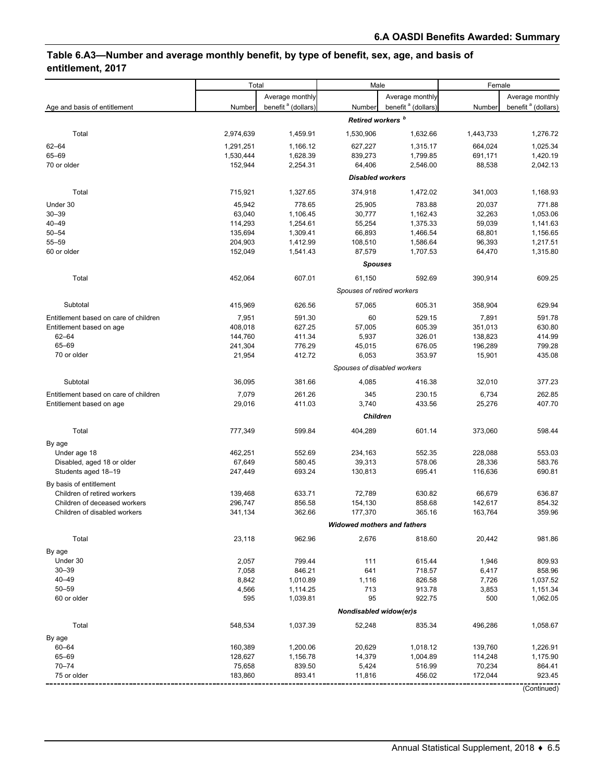# **Table 6.A3—Number and average monthly benefit, by type of benefit, sex, age, and basis of entitlement, 2017**

| Average monthly<br>Average monthly<br>Average monthly<br>benefit <sup>a</sup> (dollars)<br>benefit <sup>a</sup> (dollars)<br>benefit <sup>a</sup> (dollars)<br>Age and basis of entitlement<br>Number<br>Number<br>Number<br>Retired workers <sup>b</sup><br>Total<br>2,974,639<br>1,459.91<br>1,530,906<br>1,632.66<br>1,443,733<br>1,276.72<br>$62 - 64$<br>627,227<br>664,024<br>1,025.34<br>1,291,251<br>1.166.12<br>1,315.17<br>65-69<br>1,420.19<br>1,530,444<br>1,628.39<br>839,273<br>1,799.85<br>691,171<br>152,944<br>64,406<br>88,538<br>2,042.13<br>70 or older<br>2,254.31<br>2,546.00<br><b>Disabled workers</b><br>Total<br>715,921<br>1,327.65<br>374,918<br>1,472.02<br>341,003<br>1,168.93<br>Under 30<br>45,942<br>778.65<br>25,905<br>783.88<br>20,037<br>771.88<br>$30 - 39$<br>63,040<br>1,162.43<br>32,263<br>1,053.06<br>1,106.45<br>30,777<br>55,254<br>59,039<br>1,141.63<br>$40 - 49$<br>114,293<br>1,254.61<br>1,375.33<br>$50 - 54$<br>1,466.54<br>68,801<br>1,156.65<br>135,694<br>1,309.41<br>66,893<br>$55 - 59$<br>108,510<br>96,393<br>1,217.51<br>204,903<br>1,412.99<br>1,586.64<br>87,579<br>60 or older<br>152,049<br>1,541.43<br>1,707.53<br>64,470<br>1,315.80<br><b>Spouses</b><br>452.064<br>607.01<br>592.69<br>390,914<br>609.25<br>Total<br>61,150<br>Spouses of retired workers<br>Subtotal<br>626.56<br>629.94<br>415,969<br>57,065<br>605.31<br>358,904<br>529.15<br>Entitlement based on care of children<br>7,951<br>591.30<br>60<br>7,891<br>591.78<br>408,018<br>627.25<br>57,005<br>605.39<br>351,013<br>630.80<br>Entitlement based on age<br>$62 - 64$<br>411.34<br>5,937<br>326.01<br>138,823<br>414.99<br>144,760<br>65-69<br>776.29<br>676.05<br>196,289<br>799.28<br>241,304<br>45,015<br>70 or older<br>412.72<br>6,053<br>353.97<br>15,901<br>435.08<br>21,954<br>Spouses of disabled workers<br>381.66<br>Subtotal<br>36,095<br>4,085<br>416.38<br>32,010<br>377.23<br>Entitlement based on care of children<br>7,079<br>261.26<br>345<br>230.15<br>6,734<br>262.85<br>433.56<br>407.70<br>Entitlement based on age<br>29,016<br>411.03<br>3,740<br>25,276<br><b>Children</b><br>404,289<br>601.14<br>Total<br>777,349<br>599.84<br>373,060<br>598.44<br>By age<br>Under age 18<br>552.35<br>462,251<br>552.69<br>234,163<br>228,088<br>553.03<br>580.45<br>39,313<br>578.06<br>28,336<br>583.76<br>Disabled, aged 18 or older<br>67,649<br>Students aged 18-19<br>693.24<br>130,813<br>695.41<br>116,636<br>690.81<br>247,449<br>By basis of entitlement<br>633.71<br>72,789<br>630.82<br>636.87<br>Children of retired workers<br>139,468<br>66,679<br>856.58<br>154,130<br>858.68<br>142,617<br>854.32<br>Children of deceased workers<br>296,747<br>362.66<br>365.16<br>359.96<br>Children of disabled workers<br>341,134<br>177,370<br>163,764<br><b>Widowed mothers and fathers</b><br>Total<br>23,118<br>962.96<br>2,676<br>20,442<br>981.86<br>818.60<br>By age<br>Under 30<br>2,057<br>799.44<br>111<br>615.44<br>1,946<br>809.93<br>$30 - 39$<br>7,058<br>846.21<br>641<br>858.96<br>718.57<br>6,417<br>$40 - 49$<br>8,842<br>1,010.89<br>1,116<br>826.58<br>7,726<br>1,037.52<br>$50 - 59$<br>713<br>913.78<br>4,566<br>1,114.25<br>3,853<br>1,151.34<br>60 or older<br>595<br>95<br>922.75<br>500<br>1,039.81<br>1,062.05<br>Nondisabled widow(er)s<br>Total<br>548,534<br>1,037.39<br>52,248<br>835.34<br>496,286<br>1,058.67<br>By age<br>$60 - 64$<br>160,389<br>1,200.06<br>20,629<br>1,018.12<br>139,760<br>1,226.91<br>65-69<br>128,627<br>1,156.78<br>14,379<br>1,004.89<br>114,248<br>1,175.90<br>$70 - 74$<br>75,658<br>839.50<br>5,424<br>516.99<br>70,234<br>864.41<br>172,044<br>923.45<br>75 or older<br>183,860<br>893.41<br>456.02<br>11,816<br>(Continued) | Total |  | Male | Female |  |  |
|------------------------------------------------------------------------------------------------------------------------------------------------------------------------------------------------------------------------------------------------------------------------------------------------------------------------------------------------------------------------------------------------------------------------------------------------------------------------------------------------------------------------------------------------------------------------------------------------------------------------------------------------------------------------------------------------------------------------------------------------------------------------------------------------------------------------------------------------------------------------------------------------------------------------------------------------------------------------------------------------------------------------------------------------------------------------------------------------------------------------------------------------------------------------------------------------------------------------------------------------------------------------------------------------------------------------------------------------------------------------------------------------------------------------------------------------------------------------------------------------------------------------------------------------------------------------------------------------------------------------------------------------------------------------------------------------------------------------------------------------------------------------------------------------------------------------------------------------------------------------------------------------------------------------------------------------------------------------------------------------------------------------------------------------------------------------------------------------------------------------------------------------------------------------------------------------------------------------------------------------------------------------------------------------------------------------------------------------------------------------------------------------------------------------------------------------------------------------------------------------------------------------------------------------------------------------------------------------------------------------------------------------------------------------------------------------------------------------------------------------------------------------------------------------------------------------------------------------------------------------------------------------------------------------------------------------------------------------------------------------------------------------------------------------------------------------------------------------------------------------------------------------------------------------------------------------------------------------------------------------------------------------------------------------------------------------------------------------------------------------------------------------------------------------------------------------------------------------------------------------------------------------------------------------------------------------------------------------------------------------------------------------------------------------------------------------------------------------------------------------------|-------|--|------|--------|--|--|
|                                                                                                                                                                                                                                                                                                                                                                                                                                                                                                                                                                                                                                                                                                                                                                                                                                                                                                                                                                                                                                                                                                                                                                                                                                                                                                                                                                                                                                                                                                                                                                                                                                                                                                                                                                                                                                                                                                                                                                                                                                                                                                                                                                                                                                                                                                                                                                                                                                                                                                                                                                                                                                                                                                                                                                                                                                                                                                                                                                                                                                                                                                                                                                                                                                                                                                                                                                                                                                                                                                                                                                                                                                                                                                                                                      |       |  |      |        |  |  |
|                                                                                                                                                                                                                                                                                                                                                                                                                                                                                                                                                                                                                                                                                                                                                                                                                                                                                                                                                                                                                                                                                                                                                                                                                                                                                                                                                                                                                                                                                                                                                                                                                                                                                                                                                                                                                                                                                                                                                                                                                                                                                                                                                                                                                                                                                                                                                                                                                                                                                                                                                                                                                                                                                                                                                                                                                                                                                                                                                                                                                                                                                                                                                                                                                                                                                                                                                                                                                                                                                                                                                                                                                                                                                                                                                      |       |  |      |        |  |  |
|                                                                                                                                                                                                                                                                                                                                                                                                                                                                                                                                                                                                                                                                                                                                                                                                                                                                                                                                                                                                                                                                                                                                                                                                                                                                                                                                                                                                                                                                                                                                                                                                                                                                                                                                                                                                                                                                                                                                                                                                                                                                                                                                                                                                                                                                                                                                                                                                                                                                                                                                                                                                                                                                                                                                                                                                                                                                                                                                                                                                                                                                                                                                                                                                                                                                                                                                                                                                                                                                                                                                                                                                                                                                                                                                                      |       |  |      |        |  |  |
|                                                                                                                                                                                                                                                                                                                                                                                                                                                                                                                                                                                                                                                                                                                                                                                                                                                                                                                                                                                                                                                                                                                                                                                                                                                                                                                                                                                                                                                                                                                                                                                                                                                                                                                                                                                                                                                                                                                                                                                                                                                                                                                                                                                                                                                                                                                                                                                                                                                                                                                                                                                                                                                                                                                                                                                                                                                                                                                                                                                                                                                                                                                                                                                                                                                                                                                                                                                                                                                                                                                                                                                                                                                                                                                                                      |       |  |      |        |  |  |
|                                                                                                                                                                                                                                                                                                                                                                                                                                                                                                                                                                                                                                                                                                                                                                                                                                                                                                                                                                                                                                                                                                                                                                                                                                                                                                                                                                                                                                                                                                                                                                                                                                                                                                                                                                                                                                                                                                                                                                                                                                                                                                                                                                                                                                                                                                                                                                                                                                                                                                                                                                                                                                                                                                                                                                                                                                                                                                                                                                                                                                                                                                                                                                                                                                                                                                                                                                                                                                                                                                                                                                                                                                                                                                                                                      |       |  |      |        |  |  |
|                                                                                                                                                                                                                                                                                                                                                                                                                                                                                                                                                                                                                                                                                                                                                                                                                                                                                                                                                                                                                                                                                                                                                                                                                                                                                                                                                                                                                                                                                                                                                                                                                                                                                                                                                                                                                                                                                                                                                                                                                                                                                                                                                                                                                                                                                                                                                                                                                                                                                                                                                                                                                                                                                                                                                                                                                                                                                                                                                                                                                                                                                                                                                                                                                                                                                                                                                                                                                                                                                                                                                                                                                                                                                                                                                      |       |  |      |        |  |  |
|                                                                                                                                                                                                                                                                                                                                                                                                                                                                                                                                                                                                                                                                                                                                                                                                                                                                                                                                                                                                                                                                                                                                                                                                                                                                                                                                                                                                                                                                                                                                                                                                                                                                                                                                                                                                                                                                                                                                                                                                                                                                                                                                                                                                                                                                                                                                                                                                                                                                                                                                                                                                                                                                                                                                                                                                                                                                                                                                                                                                                                                                                                                                                                                                                                                                                                                                                                                                                                                                                                                                                                                                                                                                                                                                                      |       |  |      |        |  |  |
|                                                                                                                                                                                                                                                                                                                                                                                                                                                                                                                                                                                                                                                                                                                                                                                                                                                                                                                                                                                                                                                                                                                                                                                                                                                                                                                                                                                                                                                                                                                                                                                                                                                                                                                                                                                                                                                                                                                                                                                                                                                                                                                                                                                                                                                                                                                                                                                                                                                                                                                                                                                                                                                                                                                                                                                                                                                                                                                                                                                                                                                                                                                                                                                                                                                                                                                                                                                                                                                                                                                                                                                                                                                                                                                                                      |       |  |      |        |  |  |
|                                                                                                                                                                                                                                                                                                                                                                                                                                                                                                                                                                                                                                                                                                                                                                                                                                                                                                                                                                                                                                                                                                                                                                                                                                                                                                                                                                                                                                                                                                                                                                                                                                                                                                                                                                                                                                                                                                                                                                                                                                                                                                                                                                                                                                                                                                                                                                                                                                                                                                                                                                                                                                                                                                                                                                                                                                                                                                                                                                                                                                                                                                                                                                                                                                                                                                                                                                                                                                                                                                                                                                                                                                                                                                                                                      |       |  |      |        |  |  |
|                                                                                                                                                                                                                                                                                                                                                                                                                                                                                                                                                                                                                                                                                                                                                                                                                                                                                                                                                                                                                                                                                                                                                                                                                                                                                                                                                                                                                                                                                                                                                                                                                                                                                                                                                                                                                                                                                                                                                                                                                                                                                                                                                                                                                                                                                                                                                                                                                                                                                                                                                                                                                                                                                                                                                                                                                                                                                                                                                                                                                                                                                                                                                                                                                                                                                                                                                                                                                                                                                                                                                                                                                                                                                                                                                      |       |  |      |        |  |  |
|                                                                                                                                                                                                                                                                                                                                                                                                                                                                                                                                                                                                                                                                                                                                                                                                                                                                                                                                                                                                                                                                                                                                                                                                                                                                                                                                                                                                                                                                                                                                                                                                                                                                                                                                                                                                                                                                                                                                                                                                                                                                                                                                                                                                                                                                                                                                                                                                                                                                                                                                                                                                                                                                                                                                                                                                                                                                                                                                                                                                                                                                                                                                                                                                                                                                                                                                                                                                                                                                                                                                                                                                                                                                                                                                                      |       |  |      |        |  |  |
|                                                                                                                                                                                                                                                                                                                                                                                                                                                                                                                                                                                                                                                                                                                                                                                                                                                                                                                                                                                                                                                                                                                                                                                                                                                                                                                                                                                                                                                                                                                                                                                                                                                                                                                                                                                                                                                                                                                                                                                                                                                                                                                                                                                                                                                                                                                                                                                                                                                                                                                                                                                                                                                                                                                                                                                                                                                                                                                                                                                                                                                                                                                                                                                                                                                                                                                                                                                                                                                                                                                                                                                                                                                                                                                                                      |       |  |      |        |  |  |
|                                                                                                                                                                                                                                                                                                                                                                                                                                                                                                                                                                                                                                                                                                                                                                                                                                                                                                                                                                                                                                                                                                                                                                                                                                                                                                                                                                                                                                                                                                                                                                                                                                                                                                                                                                                                                                                                                                                                                                                                                                                                                                                                                                                                                                                                                                                                                                                                                                                                                                                                                                                                                                                                                                                                                                                                                                                                                                                                                                                                                                                                                                                                                                                                                                                                                                                                                                                                                                                                                                                                                                                                                                                                                                                                                      |       |  |      |        |  |  |
|                                                                                                                                                                                                                                                                                                                                                                                                                                                                                                                                                                                                                                                                                                                                                                                                                                                                                                                                                                                                                                                                                                                                                                                                                                                                                                                                                                                                                                                                                                                                                                                                                                                                                                                                                                                                                                                                                                                                                                                                                                                                                                                                                                                                                                                                                                                                                                                                                                                                                                                                                                                                                                                                                                                                                                                                                                                                                                                                                                                                                                                                                                                                                                                                                                                                                                                                                                                                                                                                                                                                                                                                                                                                                                                                                      |       |  |      |        |  |  |
|                                                                                                                                                                                                                                                                                                                                                                                                                                                                                                                                                                                                                                                                                                                                                                                                                                                                                                                                                                                                                                                                                                                                                                                                                                                                                                                                                                                                                                                                                                                                                                                                                                                                                                                                                                                                                                                                                                                                                                                                                                                                                                                                                                                                                                                                                                                                                                                                                                                                                                                                                                                                                                                                                                                                                                                                                                                                                                                                                                                                                                                                                                                                                                                                                                                                                                                                                                                                                                                                                                                                                                                                                                                                                                                                                      |       |  |      |        |  |  |
|                                                                                                                                                                                                                                                                                                                                                                                                                                                                                                                                                                                                                                                                                                                                                                                                                                                                                                                                                                                                                                                                                                                                                                                                                                                                                                                                                                                                                                                                                                                                                                                                                                                                                                                                                                                                                                                                                                                                                                                                                                                                                                                                                                                                                                                                                                                                                                                                                                                                                                                                                                                                                                                                                                                                                                                                                                                                                                                                                                                                                                                                                                                                                                                                                                                                                                                                                                                                                                                                                                                                                                                                                                                                                                                                                      |       |  |      |        |  |  |
|                                                                                                                                                                                                                                                                                                                                                                                                                                                                                                                                                                                                                                                                                                                                                                                                                                                                                                                                                                                                                                                                                                                                                                                                                                                                                                                                                                                                                                                                                                                                                                                                                                                                                                                                                                                                                                                                                                                                                                                                                                                                                                                                                                                                                                                                                                                                                                                                                                                                                                                                                                                                                                                                                                                                                                                                                                                                                                                                                                                                                                                                                                                                                                                                                                                                                                                                                                                                                                                                                                                                                                                                                                                                                                                                                      |       |  |      |        |  |  |
|                                                                                                                                                                                                                                                                                                                                                                                                                                                                                                                                                                                                                                                                                                                                                                                                                                                                                                                                                                                                                                                                                                                                                                                                                                                                                                                                                                                                                                                                                                                                                                                                                                                                                                                                                                                                                                                                                                                                                                                                                                                                                                                                                                                                                                                                                                                                                                                                                                                                                                                                                                                                                                                                                                                                                                                                                                                                                                                                                                                                                                                                                                                                                                                                                                                                                                                                                                                                                                                                                                                                                                                                                                                                                                                                                      |       |  |      |        |  |  |
|                                                                                                                                                                                                                                                                                                                                                                                                                                                                                                                                                                                                                                                                                                                                                                                                                                                                                                                                                                                                                                                                                                                                                                                                                                                                                                                                                                                                                                                                                                                                                                                                                                                                                                                                                                                                                                                                                                                                                                                                                                                                                                                                                                                                                                                                                                                                                                                                                                                                                                                                                                                                                                                                                                                                                                                                                                                                                                                                                                                                                                                                                                                                                                                                                                                                                                                                                                                                                                                                                                                                                                                                                                                                                                                                                      |       |  |      |        |  |  |
|                                                                                                                                                                                                                                                                                                                                                                                                                                                                                                                                                                                                                                                                                                                                                                                                                                                                                                                                                                                                                                                                                                                                                                                                                                                                                                                                                                                                                                                                                                                                                                                                                                                                                                                                                                                                                                                                                                                                                                                                                                                                                                                                                                                                                                                                                                                                                                                                                                                                                                                                                                                                                                                                                                                                                                                                                                                                                                                                                                                                                                                                                                                                                                                                                                                                                                                                                                                                                                                                                                                                                                                                                                                                                                                                                      |       |  |      |        |  |  |
|                                                                                                                                                                                                                                                                                                                                                                                                                                                                                                                                                                                                                                                                                                                                                                                                                                                                                                                                                                                                                                                                                                                                                                                                                                                                                                                                                                                                                                                                                                                                                                                                                                                                                                                                                                                                                                                                                                                                                                                                                                                                                                                                                                                                                                                                                                                                                                                                                                                                                                                                                                                                                                                                                                                                                                                                                                                                                                                                                                                                                                                                                                                                                                                                                                                                                                                                                                                                                                                                                                                                                                                                                                                                                                                                                      |       |  |      |        |  |  |
|                                                                                                                                                                                                                                                                                                                                                                                                                                                                                                                                                                                                                                                                                                                                                                                                                                                                                                                                                                                                                                                                                                                                                                                                                                                                                                                                                                                                                                                                                                                                                                                                                                                                                                                                                                                                                                                                                                                                                                                                                                                                                                                                                                                                                                                                                                                                                                                                                                                                                                                                                                                                                                                                                                                                                                                                                                                                                                                                                                                                                                                                                                                                                                                                                                                                                                                                                                                                                                                                                                                                                                                                                                                                                                                                                      |       |  |      |        |  |  |
|                                                                                                                                                                                                                                                                                                                                                                                                                                                                                                                                                                                                                                                                                                                                                                                                                                                                                                                                                                                                                                                                                                                                                                                                                                                                                                                                                                                                                                                                                                                                                                                                                                                                                                                                                                                                                                                                                                                                                                                                                                                                                                                                                                                                                                                                                                                                                                                                                                                                                                                                                                                                                                                                                                                                                                                                                                                                                                                                                                                                                                                                                                                                                                                                                                                                                                                                                                                                                                                                                                                                                                                                                                                                                                                                                      |       |  |      |        |  |  |
|                                                                                                                                                                                                                                                                                                                                                                                                                                                                                                                                                                                                                                                                                                                                                                                                                                                                                                                                                                                                                                                                                                                                                                                                                                                                                                                                                                                                                                                                                                                                                                                                                                                                                                                                                                                                                                                                                                                                                                                                                                                                                                                                                                                                                                                                                                                                                                                                                                                                                                                                                                                                                                                                                                                                                                                                                                                                                                                                                                                                                                                                                                                                                                                                                                                                                                                                                                                                                                                                                                                                                                                                                                                                                                                                                      |       |  |      |        |  |  |
|                                                                                                                                                                                                                                                                                                                                                                                                                                                                                                                                                                                                                                                                                                                                                                                                                                                                                                                                                                                                                                                                                                                                                                                                                                                                                                                                                                                                                                                                                                                                                                                                                                                                                                                                                                                                                                                                                                                                                                                                                                                                                                                                                                                                                                                                                                                                                                                                                                                                                                                                                                                                                                                                                                                                                                                                                                                                                                                                                                                                                                                                                                                                                                                                                                                                                                                                                                                                                                                                                                                                                                                                                                                                                                                                                      |       |  |      |        |  |  |
|                                                                                                                                                                                                                                                                                                                                                                                                                                                                                                                                                                                                                                                                                                                                                                                                                                                                                                                                                                                                                                                                                                                                                                                                                                                                                                                                                                                                                                                                                                                                                                                                                                                                                                                                                                                                                                                                                                                                                                                                                                                                                                                                                                                                                                                                                                                                                                                                                                                                                                                                                                                                                                                                                                                                                                                                                                                                                                                                                                                                                                                                                                                                                                                                                                                                                                                                                                                                                                                                                                                                                                                                                                                                                                                                                      |       |  |      |        |  |  |
|                                                                                                                                                                                                                                                                                                                                                                                                                                                                                                                                                                                                                                                                                                                                                                                                                                                                                                                                                                                                                                                                                                                                                                                                                                                                                                                                                                                                                                                                                                                                                                                                                                                                                                                                                                                                                                                                                                                                                                                                                                                                                                                                                                                                                                                                                                                                                                                                                                                                                                                                                                                                                                                                                                                                                                                                                                                                                                                                                                                                                                                                                                                                                                                                                                                                                                                                                                                                                                                                                                                                                                                                                                                                                                                                                      |       |  |      |        |  |  |
|                                                                                                                                                                                                                                                                                                                                                                                                                                                                                                                                                                                                                                                                                                                                                                                                                                                                                                                                                                                                                                                                                                                                                                                                                                                                                                                                                                                                                                                                                                                                                                                                                                                                                                                                                                                                                                                                                                                                                                                                                                                                                                                                                                                                                                                                                                                                                                                                                                                                                                                                                                                                                                                                                                                                                                                                                                                                                                                                                                                                                                                                                                                                                                                                                                                                                                                                                                                                                                                                                                                                                                                                                                                                                                                                                      |       |  |      |        |  |  |
|                                                                                                                                                                                                                                                                                                                                                                                                                                                                                                                                                                                                                                                                                                                                                                                                                                                                                                                                                                                                                                                                                                                                                                                                                                                                                                                                                                                                                                                                                                                                                                                                                                                                                                                                                                                                                                                                                                                                                                                                                                                                                                                                                                                                                                                                                                                                                                                                                                                                                                                                                                                                                                                                                                                                                                                                                                                                                                                                                                                                                                                                                                                                                                                                                                                                                                                                                                                                                                                                                                                                                                                                                                                                                                                                                      |       |  |      |        |  |  |
|                                                                                                                                                                                                                                                                                                                                                                                                                                                                                                                                                                                                                                                                                                                                                                                                                                                                                                                                                                                                                                                                                                                                                                                                                                                                                                                                                                                                                                                                                                                                                                                                                                                                                                                                                                                                                                                                                                                                                                                                                                                                                                                                                                                                                                                                                                                                                                                                                                                                                                                                                                                                                                                                                                                                                                                                                                                                                                                                                                                                                                                                                                                                                                                                                                                                                                                                                                                                                                                                                                                                                                                                                                                                                                                                                      |       |  |      |        |  |  |
|                                                                                                                                                                                                                                                                                                                                                                                                                                                                                                                                                                                                                                                                                                                                                                                                                                                                                                                                                                                                                                                                                                                                                                                                                                                                                                                                                                                                                                                                                                                                                                                                                                                                                                                                                                                                                                                                                                                                                                                                                                                                                                                                                                                                                                                                                                                                                                                                                                                                                                                                                                                                                                                                                                                                                                                                                                                                                                                                                                                                                                                                                                                                                                                                                                                                                                                                                                                                                                                                                                                                                                                                                                                                                                                                                      |       |  |      |        |  |  |
|                                                                                                                                                                                                                                                                                                                                                                                                                                                                                                                                                                                                                                                                                                                                                                                                                                                                                                                                                                                                                                                                                                                                                                                                                                                                                                                                                                                                                                                                                                                                                                                                                                                                                                                                                                                                                                                                                                                                                                                                                                                                                                                                                                                                                                                                                                                                                                                                                                                                                                                                                                                                                                                                                                                                                                                                                                                                                                                                                                                                                                                                                                                                                                                                                                                                                                                                                                                                                                                                                                                                                                                                                                                                                                                                                      |       |  |      |        |  |  |
|                                                                                                                                                                                                                                                                                                                                                                                                                                                                                                                                                                                                                                                                                                                                                                                                                                                                                                                                                                                                                                                                                                                                                                                                                                                                                                                                                                                                                                                                                                                                                                                                                                                                                                                                                                                                                                                                                                                                                                                                                                                                                                                                                                                                                                                                                                                                                                                                                                                                                                                                                                                                                                                                                                                                                                                                                                                                                                                                                                                                                                                                                                                                                                                                                                                                                                                                                                                                                                                                                                                                                                                                                                                                                                                                                      |       |  |      |        |  |  |
|                                                                                                                                                                                                                                                                                                                                                                                                                                                                                                                                                                                                                                                                                                                                                                                                                                                                                                                                                                                                                                                                                                                                                                                                                                                                                                                                                                                                                                                                                                                                                                                                                                                                                                                                                                                                                                                                                                                                                                                                                                                                                                                                                                                                                                                                                                                                                                                                                                                                                                                                                                                                                                                                                                                                                                                                                                                                                                                                                                                                                                                                                                                                                                                                                                                                                                                                                                                                                                                                                                                                                                                                                                                                                                                                                      |       |  |      |        |  |  |
|                                                                                                                                                                                                                                                                                                                                                                                                                                                                                                                                                                                                                                                                                                                                                                                                                                                                                                                                                                                                                                                                                                                                                                                                                                                                                                                                                                                                                                                                                                                                                                                                                                                                                                                                                                                                                                                                                                                                                                                                                                                                                                                                                                                                                                                                                                                                                                                                                                                                                                                                                                                                                                                                                                                                                                                                                                                                                                                                                                                                                                                                                                                                                                                                                                                                                                                                                                                                                                                                                                                                                                                                                                                                                                                                                      |       |  |      |        |  |  |
|                                                                                                                                                                                                                                                                                                                                                                                                                                                                                                                                                                                                                                                                                                                                                                                                                                                                                                                                                                                                                                                                                                                                                                                                                                                                                                                                                                                                                                                                                                                                                                                                                                                                                                                                                                                                                                                                                                                                                                                                                                                                                                                                                                                                                                                                                                                                                                                                                                                                                                                                                                                                                                                                                                                                                                                                                                                                                                                                                                                                                                                                                                                                                                                                                                                                                                                                                                                                                                                                                                                                                                                                                                                                                                                                                      |       |  |      |        |  |  |
|                                                                                                                                                                                                                                                                                                                                                                                                                                                                                                                                                                                                                                                                                                                                                                                                                                                                                                                                                                                                                                                                                                                                                                                                                                                                                                                                                                                                                                                                                                                                                                                                                                                                                                                                                                                                                                                                                                                                                                                                                                                                                                                                                                                                                                                                                                                                                                                                                                                                                                                                                                                                                                                                                                                                                                                                                                                                                                                                                                                                                                                                                                                                                                                                                                                                                                                                                                                                                                                                                                                                                                                                                                                                                                                                                      |       |  |      |        |  |  |
|                                                                                                                                                                                                                                                                                                                                                                                                                                                                                                                                                                                                                                                                                                                                                                                                                                                                                                                                                                                                                                                                                                                                                                                                                                                                                                                                                                                                                                                                                                                                                                                                                                                                                                                                                                                                                                                                                                                                                                                                                                                                                                                                                                                                                                                                                                                                                                                                                                                                                                                                                                                                                                                                                                                                                                                                                                                                                                                                                                                                                                                                                                                                                                                                                                                                                                                                                                                                                                                                                                                                                                                                                                                                                                                                                      |       |  |      |        |  |  |
|                                                                                                                                                                                                                                                                                                                                                                                                                                                                                                                                                                                                                                                                                                                                                                                                                                                                                                                                                                                                                                                                                                                                                                                                                                                                                                                                                                                                                                                                                                                                                                                                                                                                                                                                                                                                                                                                                                                                                                                                                                                                                                                                                                                                                                                                                                                                                                                                                                                                                                                                                                                                                                                                                                                                                                                                                                                                                                                                                                                                                                                                                                                                                                                                                                                                                                                                                                                                                                                                                                                                                                                                                                                                                                                                                      |       |  |      |        |  |  |
|                                                                                                                                                                                                                                                                                                                                                                                                                                                                                                                                                                                                                                                                                                                                                                                                                                                                                                                                                                                                                                                                                                                                                                                                                                                                                                                                                                                                                                                                                                                                                                                                                                                                                                                                                                                                                                                                                                                                                                                                                                                                                                                                                                                                                                                                                                                                                                                                                                                                                                                                                                                                                                                                                                                                                                                                                                                                                                                                                                                                                                                                                                                                                                                                                                                                                                                                                                                                                                                                                                                                                                                                                                                                                                                                                      |       |  |      |        |  |  |
|                                                                                                                                                                                                                                                                                                                                                                                                                                                                                                                                                                                                                                                                                                                                                                                                                                                                                                                                                                                                                                                                                                                                                                                                                                                                                                                                                                                                                                                                                                                                                                                                                                                                                                                                                                                                                                                                                                                                                                                                                                                                                                                                                                                                                                                                                                                                                                                                                                                                                                                                                                                                                                                                                                                                                                                                                                                                                                                                                                                                                                                                                                                                                                                                                                                                                                                                                                                                                                                                                                                                                                                                                                                                                                                                                      |       |  |      |        |  |  |
|                                                                                                                                                                                                                                                                                                                                                                                                                                                                                                                                                                                                                                                                                                                                                                                                                                                                                                                                                                                                                                                                                                                                                                                                                                                                                                                                                                                                                                                                                                                                                                                                                                                                                                                                                                                                                                                                                                                                                                                                                                                                                                                                                                                                                                                                                                                                                                                                                                                                                                                                                                                                                                                                                                                                                                                                                                                                                                                                                                                                                                                                                                                                                                                                                                                                                                                                                                                                                                                                                                                                                                                                                                                                                                                                                      |       |  |      |        |  |  |
|                                                                                                                                                                                                                                                                                                                                                                                                                                                                                                                                                                                                                                                                                                                                                                                                                                                                                                                                                                                                                                                                                                                                                                                                                                                                                                                                                                                                                                                                                                                                                                                                                                                                                                                                                                                                                                                                                                                                                                                                                                                                                                                                                                                                                                                                                                                                                                                                                                                                                                                                                                                                                                                                                                                                                                                                                                                                                                                                                                                                                                                                                                                                                                                                                                                                                                                                                                                                                                                                                                                                                                                                                                                                                                                                                      |       |  |      |        |  |  |
|                                                                                                                                                                                                                                                                                                                                                                                                                                                                                                                                                                                                                                                                                                                                                                                                                                                                                                                                                                                                                                                                                                                                                                                                                                                                                                                                                                                                                                                                                                                                                                                                                                                                                                                                                                                                                                                                                                                                                                                                                                                                                                                                                                                                                                                                                                                                                                                                                                                                                                                                                                                                                                                                                                                                                                                                                                                                                                                                                                                                                                                                                                                                                                                                                                                                                                                                                                                                                                                                                                                                                                                                                                                                                                                                                      |       |  |      |        |  |  |
|                                                                                                                                                                                                                                                                                                                                                                                                                                                                                                                                                                                                                                                                                                                                                                                                                                                                                                                                                                                                                                                                                                                                                                                                                                                                                                                                                                                                                                                                                                                                                                                                                                                                                                                                                                                                                                                                                                                                                                                                                                                                                                                                                                                                                                                                                                                                                                                                                                                                                                                                                                                                                                                                                                                                                                                                                                                                                                                                                                                                                                                                                                                                                                                                                                                                                                                                                                                                                                                                                                                                                                                                                                                                                                                                                      |       |  |      |        |  |  |
|                                                                                                                                                                                                                                                                                                                                                                                                                                                                                                                                                                                                                                                                                                                                                                                                                                                                                                                                                                                                                                                                                                                                                                                                                                                                                                                                                                                                                                                                                                                                                                                                                                                                                                                                                                                                                                                                                                                                                                                                                                                                                                                                                                                                                                                                                                                                                                                                                                                                                                                                                                                                                                                                                                                                                                                                                                                                                                                                                                                                                                                                                                                                                                                                                                                                                                                                                                                                                                                                                                                                                                                                                                                                                                                                                      |       |  |      |        |  |  |
|                                                                                                                                                                                                                                                                                                                                                                                                                                                                                                                                                                                                                                                                                                                                                                                                                                                                                                                                                                                                                                                                                                                                                                                                                                                                                                                                                                                                                                                                                                                                                                                                                                                                                                                                                                                                                                                                                                                                                                                                                                                                                                                                                                                                                                                                                                                                                                                                                                                                                                                                                                                                                                                                                                                                                                                                                                                                                                                                                                                                                                                                                                                                                                                                                                                                                                                                                                                                                                                                                                                                                                                                                                                                                                                                                      |       |  |      |        |  |  |
|                                                                                                                                                                                                                                                                                                                                                                                                                                                                                                                                                                                                                                                                                                                                                                                                                                                                                                                                                                                                                                                                                                                                                                                                                                                                                                                                                                                                                                                                                                                                                                                                                                                                                                                                                                                                                                                                                                                                                                                                                                                                                                                                                                                                                                                                                                                                                                                                                                                                                                                                                                                                                                                                                                                                                                                                                                                                                                                                                                                                                                                                                                                                                                                                                                                                                                                                                                                                                                                                                                                                                                                                                                                                                                                                                      |       |  |      |        |  |  |
|                                                                                                                                                                                                                                                                                                                                                                                                                                                                                                                                                                                                                                                                                                                                                                                                                                                                                                                                                                                                                                                                                                                                                                                                                                                                                                                                                                                                                                                                                                                                                                                                                                                                                                                                                                                                                                                                                                                                                                                                                                                                                                                                                                                                                                                                                                                                                                                                                                                                                                                                                                                                                                                                                                                                                                                                                                                                                                                                                                                                                                                                                                                                                                                                                                                                                                                                                                                                                                                                                                                                                                                                                                                                                                                                                      |       |  |      |        |  |  |
|                                                                                                                                                                                                                                                                                                                                                                                                                                                                                                                                                                                                                                                                                                                                                                                                                                                                                                                                                                                                                                                                                                                                                                                                                                                                                                                                                                                                                                                                                                                                                                                                                                                                                                                                                                                                                                                                                                                                                                                                                                                                                                                                                                                                                                                                                                                                                                                                                                                                                                                                                                                                                                                                                                                                                                                                                                                                                                                                                                                                                                                                                                                                                                                                                                                                                                                                                                                                                                                                                                                                                                                                                                                                                                                                                      |       |  |      |        |  |  |
|                                                                                                                                                                                                                                                                                                                                                                                                                                                                                                                                                                                                                                                                                                                                                                                                                                                                                                                                                                                                                                                                                                                                                                                                                                                                                                                                                                                                                                                                                                                                                                                                                                                                                                                                                                                                                                                                                                                                                                                                                                                                                                                                                                                                                                                                                                                                                                                                                                                                                                                                                                                                                                                                                                                                                                                                                                                                                                                                                                                                                                                                                                                                                                                                                                                                                                                                                                                                                                                                                                                                                                                                                                                                                                                                                      |       |  |      |        |  |  |
|                                                                                                                                                                                                                                                                                                                                                                                                                                                                                                                                                                                                                                                                                                                                                                                                                                                                                                                                                                                                                                                                                                                                                                                                                                                                                                                                                                                                                                                                                                                                                                                                                                                                                                                                                                                                                                                                                                                                                                                                                                                                                                                                                                                                                                                                                                                                                                                                                                                                                                                                                                                                                                                                                                                                                                                                                                                                                                                                                                                                                                                                                                                                                                                                                                                                                                                                                                                                                                                                                                                                                                                                                                                                                                                                                      |       |  |      |        |  |  |
|                                                                                                                                                                                                                                                                                                                                                                                                                                                                                                                                                                                                                                                                                                                                                                                                                                                                                                                                                                                                                                                                                                                                                                                                                                                                                                                                                                                                                                                                                                                                                                                                                                                                                                                                                                                                                                                                                                                                                                                                                                                                                                                                                                                                                                                                                                                                                                                                                                                                                                                                                                                                                                                                                                                                                                                                                                                                                                                                                                                                                                                                                                                                                                                                                                                                                                                                                                                                                                                                                                                                                                                                                                                                                                                                                      |       |  |      |        |  |  |
|                                                                                                                                                                                                                                                                                                                                                                                                                                                                                                                                                                                                                                                                                                                                                                                                                                                                                                                                                                                                                                                                                                                                                                                                                                                                                                                                                                                                                                                                                                                                                                                                                                                                                                                                                                                                                                                                                                                                                                                                                                                                                                                                                                                                                                                                                                                                                                                                                                                                                                                                                                                                                                                                                                                                                                                                                                                                                                                                                                                                                                                                                                                                                                                                                                                                                                                                                                                                                                                                                                                                                                                                                                                                                                                                                      |       |  |      |        |  |  |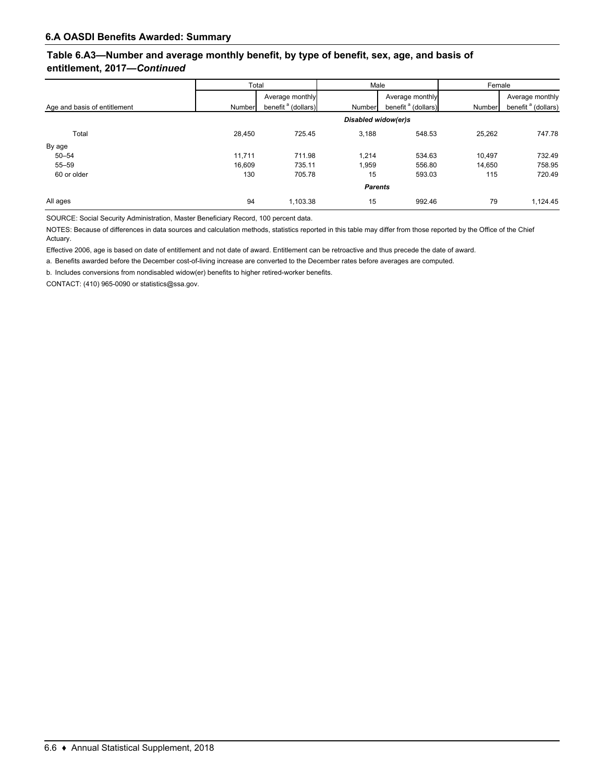## **Table 6.A3—Number and average monthly benefit, by type of benefit, sex, age, and basis of entitlement, 2017—***Continued*

|                              | Total  |                                | Male                |                                | Female |                                |  |  |  |
|------------------------------|--------|--------------------------------|---------------------|--------------------------------|--------|--------------------------------|--|--|--|
|                              |        | Average monthly                |                     | Average monthly                |        | Average monthly                |  |  |  |
| Age and basis of entitlement | Number | benefit <sup>a</sup> (dollars) | Number              | benefit <sup>a</sup> (dollars) | Number | benefit <sup>a</sup> (dollars) |  |  |  |
|                              |        |                                | Disabled widow(er)s |                                |        |                                |  |  |  |
| Total                        | 28.450 | 725.45                         | 3,188               | 548.53                         | 25,262 | 747.78                         |  |  |  |
| By age                       |        |                                |                     |                                |        |                                |  |  |  |
| $50 - 54$                    | 11,711 | 711.98                         | 1,214               | 534.63                         | 10,497 | 732.49                         |  |  |  |
| $55 - 59$                    | 16,609 | 735.11                         | 1,959               | 556.80                         | 14.650 | 758.95                         |  |  |  |
| 60 or older                  | 130    | 705.78                         | 15                  | 593.03                         | 115    | 720.49                         |  |  |  |
|                              |        |                                | <b>Parents</b>      |                                |        |                                |  |  |  |
| All ages                     | 94     | 1,103.38                       | 15                  | 992.46                         | 79     | 1,124.45                       |  |  |  |

SOURCE: Social Security Administration, Master Beneficiary Record, 100 percent data.

NOTES: Because of differences in data sources and calculation methods, statistics reported in this table may differ from those reported by the Office of the Chief Actuary.

Effective 2006, age is based on date of entitlement and not date of award. Entitlement can be retroactive and thus precede the date of award.

a. Benefits awarded before the December cost-of-living increase are converted to the December rates before averages are computed.

b. Includes conversions from nondisabled widow(er) benefits to higher retired-worker benefits.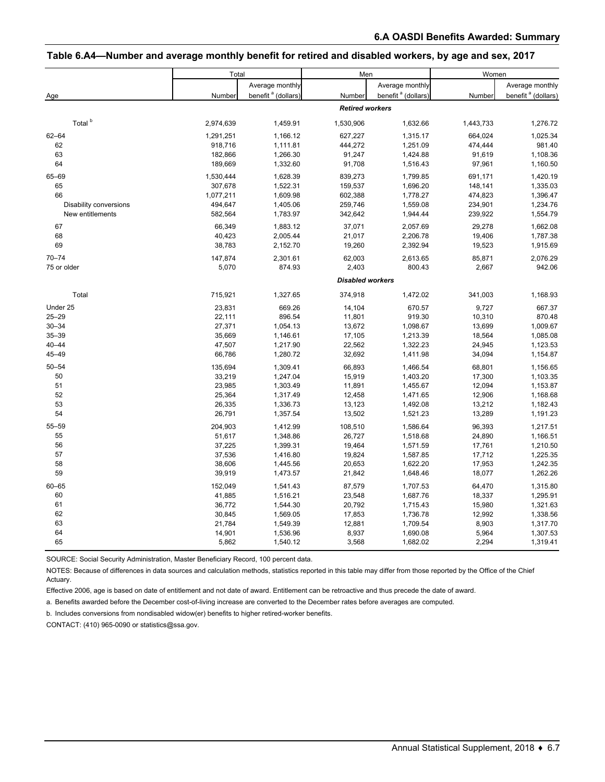# **Table 6.A4—Number and average monthly benefit for retired and disabled workers, by age and sex, 2017**

|                               | Total            |                                | Men                     |                                | Women           |                                |
|-------------------------------|------------------|--------------------------------|-------------------------|--------------------------------|-----------------|--------------------------------|
|                               |                  | Average monthly                |                         | Average monthly                |                 | Average monthly                |
| Age                           | Number           | benefit <sup>a</sup> (dollars) | Number                  | benefit <sup>a</sup> (dollars) | Number          | benefit <sup>a</sup> (dollars) |
|                               |                  |                                | <b>Retired workers</b>  |                                |                 |                                |
| Total <sup>b</sup>            | 2,974,639        | 1,459.91                       | 1,530,906               | 1,632.66                       | 1,443,733       | 1,276.72                       |
| $62 - 64$                     | 1,291,251        | 1,166.12                       | 627,227                 | 1,315.17                       | 664,024         | 1,025.34                       |
| 62                            | 918,716          | 1,111.81                       | 444,272                 | 1,251.09                       | 474,444         | 981.40                         |
| 63                            | 182,866          | 1,266.30                       | 91,247                  | 1,424.88                       | 91,619          | 1,108.36                       |
| 64                            | 189,669          | 1,332.60                       | 91,708                  | 1,516.43                       | 97,961          | 1,160.50                       |
| 65-69                         | 1,530,444        | 1,628.39                       | 839,273                 | 1,799.85                       | 691,171         | 1,420.19                       |
| 65                            | 307,678          | 1,522.31                       | 159,537                 | 1,696.20                       | 148,141         | 1,335.03                       |
| 66                            | 1,077,211        | 1,609.98                       | 602,388                 | 1,778.27                       | 474,823         | 1,396.47                       |
| <b>Disability conversions</b> | 494,647          | 1,405.06                       | 259,746                 | 1,559.08                       | 234,901         | 1,234.76                       |
| New entitlements              | 582,564          | 1,783.97                       | 342,642                 | 1,944.44                       | 239,922         | 1,554.79                       |
| 67                            | 66,349           | 1,883.12                       | 37,071                  | 2,057.69                       | 29,278          | 1,662.08                       |
| 68                            | 40,423           | 2,005.44                       | 21,017                  | 2,206.78                       | 19,406          | 1,787.38                       |
| 69                            | 38,783           | 2,152.70                       | 19,260                  | 2,392.94                       | 19,523          | 1,915.69                       |
| $70 - 74$                     |                  |                                |                         |                                |                 | 2,076.29                       |
| 75 or older                   | 147,874<br>5,070 | 2,301.61<br>874.93             | 62,003<br>2,403         | 2,613.65<br>800.43             | 85,871<br>2,667 | 942.06                         |
|                               |                  |                                |                         |                                |                 |                                |
|                               |                  |                                | <b>Disabled workers</b> |                                |                 |                                |
| Total                         | 715,921          | 1,327.65                       | 374,918                 | 1,472.02                       | 341,003         | 1,168.93                       |
| Under 25                      | 23,831           | 669.26                         | 14,104                  | 670.57                         | 9,727           | 667.37                         |
| $25 - 29$                     | 22,111           | 896.54                         | 11,801                  | 919.30                         | 10,310          | 870.48                         |
| $30 - 34$                     | 27,371           | 1,054.13                       | 13,672                  | 1,098.67                       | 13,699          | 1,009.67                       |
| $35 - 39$                     | 35,669           | 1,146.61                       | 17,105                  | 1,213.39                       | 18,564          | 1,085.08                       |
| $40 - 44$                     | 47,507           | 1,217.90                       | 22,562                  | 1,322.23                       | 24,945          | 1,123.53                       |
| 45-49                         | 66,786           | 1,280.72                       | 32,692                  | 1,411.98                       | 34,094          | 1,154.87                       |
| $50 - 54$                     | 135,694          | 1,309.41                       | 66,893                  | 1,466.54                       | 68,801          | 1,156.65                       |
| 50                            | 33,219           | 1,247.04                       | 15,919                  | 1,403.20                       | 17,300          | 1,103.35                       |
| 51                            | 23,985           | 1,303.49                       | 11,891                  | 1,455.67                       | 12,094          | 1,153.87                       |
| 52                            | 25,364           | 1,317.49                       | 12,458                  | 1,471.65                       | 12,906          | 1,168.68                       |
| 53                            | 26,335           | 1,336.73                       | 13,123                  | 1,492.08                       | 13,212          | 1,182.43                       |
| 54                            | 26,791           | 1,357.54                       | 13,502                  | 1,521.23                       | 13,289          | 1,191.23                       |
| $55 - 59$                     | 204,903          | 1,412.99                       | 108,510                 | 1,586.64                       | 96,393          | 1,217.51                       |
| 55                            | 51,617           | 1,348.86                       | 26,727                  | 1,518.68                       | 24,890          | 1,166.51                       |
| 56                            | 37,225           | 1,399.31                       | 19,464                  | 1,571.59                       | 17,761          | 1,210.50                       |
| 57                            | 37,536           | 1,416.80                       | 19,824                  | 1,587.85                       | 17,712          | 1,225.35                       |
| 58                            | 38,606           | 1,445.56                       | 20,653                  | 1,622.20                       | 17,953          | 1,242.35                       |
| 59                            | 39,919           | 1,473.57                       | 21,842                  | 1,648.46                       | 18,077          | 1,262.26                       |
| $60 - 65$                     | 152,049          | 1,541.43                       | 87,579                  | 1,707.53                       | 64,470          | 1,315.80                       |
| 60                            | 41,885           | 1,516.21                       | 23,548                  | 1,687.76                       | 18,337          | 1,295.91                       |
| 61                            | 36,772           | 1,544.30                       | 20,792                  | 1,715.43                       | 15,980          | 1,321.63                       |
| 62                            | 30,845           | 1,569.05                       | 17,853                  | 1,736.78                       | 12,992          | 1,338.56                       |
| 63                            | 21,784           | 1,549.39                       | 12,881                  | 1,709.54                       | 8,903           | 1,317.70                       |
| 64                            | 14,901           | 1,536.96                       | 8,937                   | 1,690.08                       | 5,964           | 1,307.53                       |
| 65                            | 5,862            | 1,540.12                       | 3,568                   | 1,682.02                       | 2,294           | 1,319.41                       |

SOURCE: Social Security Administration, Master Beneficiary Record, 100 percent data.

NOTES: Because of differences in data sources and calculation methods, statistics reported in this table may differ from those reported by the Office of the Chief Actuary.

Effective 2006, age is based on date of entitlement and not date of award. Entitlement can be retroactive and thus precede the date of award.

a. Benefits awarded before the December cost-of-living increase are converted to the December rates before averages are computed.

b. Includes conversions from nondisabled widow(er) benefits to higher retired-worker benefits.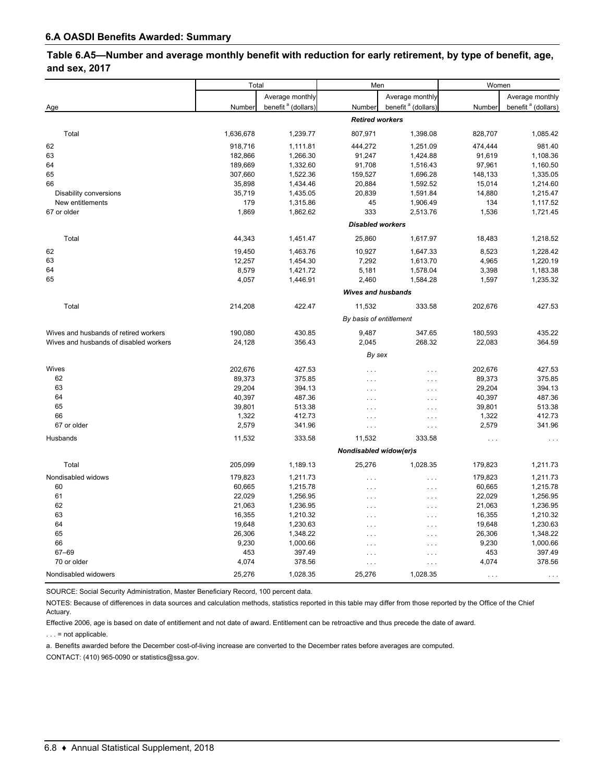### **Table 6.A5—Number and average monthly benefit with reduction for early retirement, by type of benefit, age, and sex, 2017**

|                                        | Total     |                                | Men                       |                                | Women                |                                |  |
|----------------------------------------|-----------|--------------------------------|---------------------------|--------------------------------|----------------------|--------------------------------|--|
|                                        |           | Average monthly                |                           | Average monthly                |                      | Average monthly                |  |
| Age                                    | Number    | benefit <sup>a</sup> (dollars) | Number                    | benefit <sup>a</sup> (dollars) | Number               | benefit <sup>a</sup> (dollars) |  |
|                                        |           |                                | <b>Retired workers</b>    |                                |                      |                                |  |
| Total                                  | 1,636,678 | 1,239.77                       | 807,971                   | 1,398.08                       | 828,707              | 1,085.42                       |  |
| 62                                     | 918,716   | 1,111.81                       | 444,272                   | 1,251.09                       | 474,444              | 981.40                         |  |
| 63                                     | 182,866   | 1,266.30                       | 91,247                    | 1,424.88                       | 91,619               | 1,108.36                       |  |
| 64                                     | 189,669   | 1,332.60                       | 91,708                    | 1,516.43                       | 97,961               | 1,160.50                       |  |
| 65                                     | 307,660   | 1,522.36                       | 159,527                   | 1,696.28                       | 148,133              | 1,335.05                       |  |
| 66                                     | 35,898    | 1,434.46                       | 20,884                    | 1,592.52                       | 15,014               | 1,214.60                       |  |
| Disability conversions                 | 35,719    | 1,435.05                       | 20,839                    | 1,591.84                       | 14,880               | 1,215.47                       |  |
| New entitlements                       | 179       | 1,315.86                       | 45                        | 1,906.49                       | 134                  | 1,117.52                       |  |
| 67 or older                            | 1,869     | 1,862.62                       | 333                       | 2,513.76                       | 1,536                | 1,721.45                       |  |
|                                        |           |                                | <b>Disabled workers</b>   |                                |                      |                                |  |
| Total                                  | 44,343    | 1,451.47                       | 25,860                    | 1,617.97                       | 18,483               | 1,218.52                       |  |
| 62                                     | 19,450    | 1,463.76                       | 10,927                    | 1,647.33                       | 8,523                | 1,228.42                       |  |
| 63                                     | 12,257    | 1,454.30                       | 7,292                     | 1,613.70                       | 4,965                | 1,220.19                       |  |
| 64                                     | 8,579     | 1,421.72                       | 5,181                     | 1,578.04                       | 3,398                | 1,183.38                       |  |
| 65                                     | 4,057     | 1,446.91                       | 2,460                     | 1,584.28                       | 1,597                | 1,235.32                       |  |
|                                        |           |                                | <b>Wives and husbands</b> |                                |                      |                                |  |
| Total                                  | 214,208   | 422.47                         | 11,532                    | 333.58                         | 202,676              | 427.53                         |  |
|                                        |           |                                | By basis of entitlement   |                                |                      |                                |  |
| Wives and husbands of retired workers  | 190,080   | 430.85                         | 9,487                     | 347.65                         | 180,593              | 435.22                         |  |
| Wives and husbands of disabled workers | 24,128    | 356.43                         | 2,045                     | 268.32                         | 22,083               | 364.59                         |  |
|                                        |           |                                | By sex                    |                                |                      |                                |  |
| Wives                                  | 202,676   | 427.53                         | $\cdots$                  | .                              | 202,676              | 427.53                         |  |
| 62                                     | 89,373    | 375.85                         | $\cdots$                  | $\cdots$                       | 89,373               | 375.85                         |  |
| 63                                     | 29,204    | 394.13                         | $\cdots$                  | $\cdots$                       | 29,204               | 394.13                         |  |
| 64                                     | 40,397    | 487.36                         | $\cdots$                  | $\cdots$                       | 40,397               | 487.36                         |  |
| 65                                     | 39,801    | 513.38                         | $\cdots$                  | $\cdots$                       | 39,801               | 513.38                         |  |
| 66                                     | 1,322     | 412.73                         | $\cdots$                  | $\cdots$                       | 1,322                | 412.73                         |  |
| 67 or older                            | 2,579     | 341.96                         | $\ldots$                  | $\ldots$                       | 2,579                | 341.96                         |  |
| Husbands                               | 11,532    | 333.58                         | 11,532                    | 333.58                         | $\sim$ $\sim$ $\sim$ |                                |  |
|                                        |           |                                | Nondisabled widow(er)s    |                                |                      |                                |  |
| Total                                  | 205,099   | 1,189.13                       | 25,276                    | 1,028.35                       | 179,823              | 1,211.73                       |  |
| Nondisabled widows                     | 179,823   | 1,211.73                       | $\cdots$                  | .                              | 179,823              | 1,211.73                       |  |
| 60                                     | 60,665    | 1,215.78                       | $\cdots$                  | $\cdots$                       | 60,665               | 1,215.78                       |  |
| 61                                     | 22,029    | 1,256.95                       | $\ldots$                  | $\cdots$                       | 22,029               | 1,256.95                       |  |
| 62                                     | 21,063    | 1,236.95                       | $\cdots$                  | $\ldots$                       | 21,063               | 1,236.95                       |  |
| 63                                     | 16,355    | 1,210.32                       | $\cdots$                  | $\cdots$                       | 16,355               | 1,210.32                       |  |
| 64                                     | 19,648    | 1,230.63                       | $\cdots$                  | $\cdots$                       | 19,648               | 1,230.63                       |  |
| 65                                     | 26,306    | 1,348.22                       | $\cdots$                  | $\cdots$                       | 26,306               | 1,348.22                       |  |
| 66                                     | 9,230     | 1,000.66                       | $\cdots$                  | $\cdots$                       | 9,230                | 1,000.66                       |  |
| 67-69                                  | 453       | 397.49                         | $\cdots$                  | $\cdots$                       | 453                  | 397.49                         |  |
| 70 or older                            | 4,074     | 378.56                         | $\ldots$                  | $\cdots$                       | 4,074                | 378.56                         |  |
| Nondisabled widowers                   | 25,276    | 1,028.35                       | 25,276                    | 1,028.35                       | $\ldots$             |                                |  |

SOURCE: Social Security Administration, Master Beneficiary Record, 100 percent data.

NOTES: Because of differences in data sources and calculation methods, statistics reported in this table may differ from those reported by the Office of the Chief Actuary.

Effective 2006, age is based on date of entitlement and not date of award. Entitlement can be retroactive and thus precede the date of award. . . . = not applicable.

a. Benefits awarded before the December cost-of-living increase are converted to the December rates before averages are computed.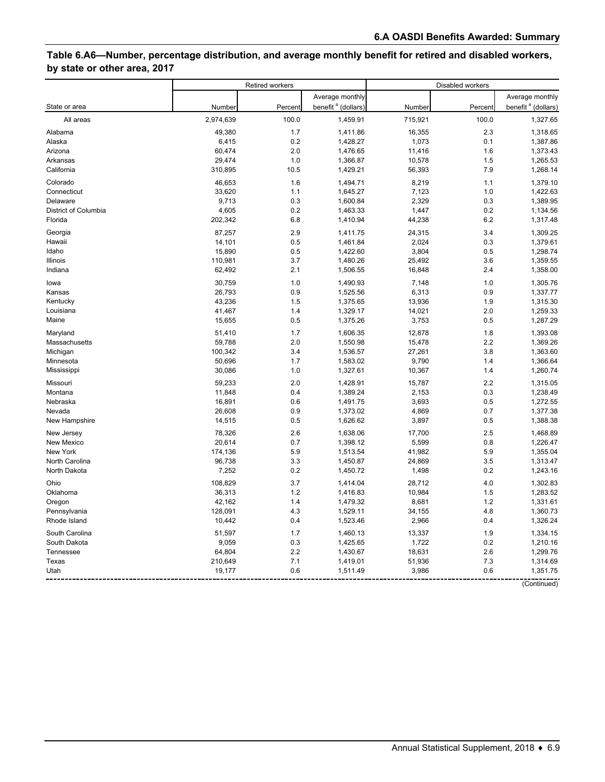# **Table 6.A6—Number, percentage distribution, and average monthly benefit for retired and disabled workers, by state or other area, 2017**

|                      | <b>Retired workers</b> |         |                                | Disabled workers |         |                                |  |
|----------------------|------------------------|---------|--------------------------------|------------------|---------|--------------------------------|--|
|                      |                        |         | Average monthly                |                  |         | Average monthly                |  |
| State or area        | Number                 | Percent | benefit <sup>a</sup> (dollars) | Number           | Percent | benefit <sup>a</sup> (dollars) |  |
| All areas            | 2,974,639              | 100.0   | 1,459.91                       | 715,921          | 100.0   | 1,327.65                       |  |
| Alabama              | 49,380                 | 1.7     | 1,411.86                       | 16,355           | 2.3     | 1,318.65                       |  |
| Alaska               | 6,415                  | 0.2     | 1,428.27                       | 1,073            | 0.1     | 1,387.86                       |  |
| Arizona              | 60,474                 | 2.0     | 1,476.65                       | 11,416           | 1.6     | 1,373.43                       |  |
| Arkansas             | 29,474                 | 1.0     | 1,366.87                       | 10,578           | 1.5     | 1,265.53                       |  |
| California           | 310,895                | 10.5    | 1,429.21                       | 56,393           | 7.9     | 1,268.14                       |  |
| Colorado             | 46,653                 | 1.6     | 1,494.71                       | 8,219            | 1.1     | 1,379.10                       |  |
| Connecticut          | 33,620                 | 1.1     | 1,645.27                       | 7,123            | 1.0     | 1,422.63                       |  |
| Delaware             | 9,713                  | 0.3     | 1,600.84                       | 2,329            | 0.3     | 1,389.95                       |  |
| District of Columbia | 4,605                  | 0.2     | 1,463.33                       | 1,447            | 0.2     | 1,134.56                       |  |
| Florida              | 202,342                | 6.8     | 1,410.94                       | 44,238           | 6.2     | 1,317.48                       |  |
| Georgia              | 87,257                 | 2.9     | 1,411.75                       | 24,315           | 3.4     | 1,309.25                       |  |
| Hawaii               | 14,101                 | 0.5     | 1,461.84                       | 2,024            | 0.3     | 1,379.61                       |  |
| Idaho                | 15,890                 | 0.5     | 1,422.60                       | 3,804            | 0.5     | 1,298.74                       |  |
| Illinois             | 110,981                | 3.7     | 1,480.26                       | 25,492           | 3.6     | 1,359.55                       |  |
| Indiana              | 62,492                 | 2.1     | 1,506.55                       | 16,848           | 2.4     | 1,358.00                       |  |
| lowa                 | 30,759                 | 1.0     | 1,490.93                       | 7,148            | 1.0     | 1.305.76                       |  |
| Kansas               | 26,793                 | 0.9     | 1,525.56                       | 6,313            | 0.9     | 1,337.77                       |  |
| Kentucky             | 43,236                 | 1.5     | 1,375.65                       | 13,936           | 1.9     | 1,315.30                       |  |
| Louisiana            | 41,467                 | 1.4     | 1,329.17                       | 14,021           | 2.0     | 1,259.33                       |  |
| Maine                | 15,655                 | 0.5     | 1,375.26                       | 3,753            | 0.5     | 1,287.29                       |  |
| Maryland             | 51,410                 | 1.7     | 1,606.35                       | 12,878           | 1.8     | 1,393.08                       |  |
| Massachusetts        | 59,788                 | 2.0     | 1,550.98                       | 15,478           | 2.2     | 1,369.26                       |  |
| Michigan             | 100,342                | 3.4     | 1,536.57                       | 27,261           | 3.8     | 1,363.60                       |  |
| Minnesota            | 50,696                 | 1.7     | 1,583.02                       | 9,790            | 1.4     | 1,366.64                       |  |
| Mississippi          | 30,086                 | 1.0     | 1,327.61                       | 10,367           | 1.4     | 1,260.74                       |  |
| Missouri             | 59,233                 | 2.0     | 1,428.91                       | 15,787           | 2.2     | 1,315.05                       |  |
| Montana              | 11,848                 | 0.4     | 1,389.24                       | 2,153            | 0.3     | 1,238.49                       |  |
| Nebraska             | 16,891                 | 0.6     | 1,491.75                       | 3,693            | 0.5     | 1,272.55                       |  |
| Nevada               | 26,608                 | 0.9     | 1,373.02                       | 4,869            | 0.7     | 1,377.38                       |  |
| New Hampshire        | 14,515                 | 0.5     | 1,626.62                       | 3,897            | 0.5     | 1,388.38                       |  |
| New Jersey           | 78,326                 | 2.6     | 1,638.06                       | 17,700           | 2.5     | 1,468.89                       |  |
| New Mexico           | 20,614                 | 0.7     | 1,398.12                       | 5,599            | 0.8     | 1,226.47                       |  |
| New York             | 174,136                | 5.9     | 1,513.54                       | 41,982           | 5.9     | 1,355.04                       |  |
| North Carolina       | 96,738                 | 3.3     | 1,450.87                       | 24,869           | 3.5     | 1,313.47                       |  |
| North Dakota         | 7,252                  | 0.2     | 1,450.72                       | 1,498            | 0.2     | 1,243.16                       |  |
| Ohio                 | 108,829                | 3.7     | 1,414.04                       | 28,712           | 4.0     | 1,302.83                       |  |
| Oklahoma             | 36,313                 | 1.2     | 1,416.83                       | 10,984           | 1.5     | 1,283.52                       |  |
| Oregon               | 42,162                 | 1.4     | 1,479.32                       | 8,681            | 1.2     | 1,331.61                       |  |
| Pennsylvania         | 128,091                | 4.3     | 1,529.11                       | 34,155           | 4.8     | 1,360.73                       |  |
| Rhode Island         | 10,442                 | 0.4     | 1,523.46                       | 2,966            | 0.4     | 1,326.24                       |  |
| South Carolina       | 51,597                 | 1.7     | 1,460.13                       | 13,337           | 1.9     | 1,334.15                       |  |
| South Dakota         | 9,059                  | 0.3     | 1,425.65                       | 1,722            | 0.2     | 1,210.16                       |  |
| Tennessee            | 64,804                 | 2.2     | 1,430.67                       | 18,631           | 2.6     | 1,299.76                       |  |
| Texas                | 210,649                | 7.1     | 1,419.01                       | 51,936           | 7.3     | 1,314.69                       |  |
| Utah                 | 19,177                 | 0.6     | 1,511.49                       | 3,986            | 0.6     | 1,351.75                       |  |
|                      |                        |         |                                |                  |         | (Continued)                    |  |